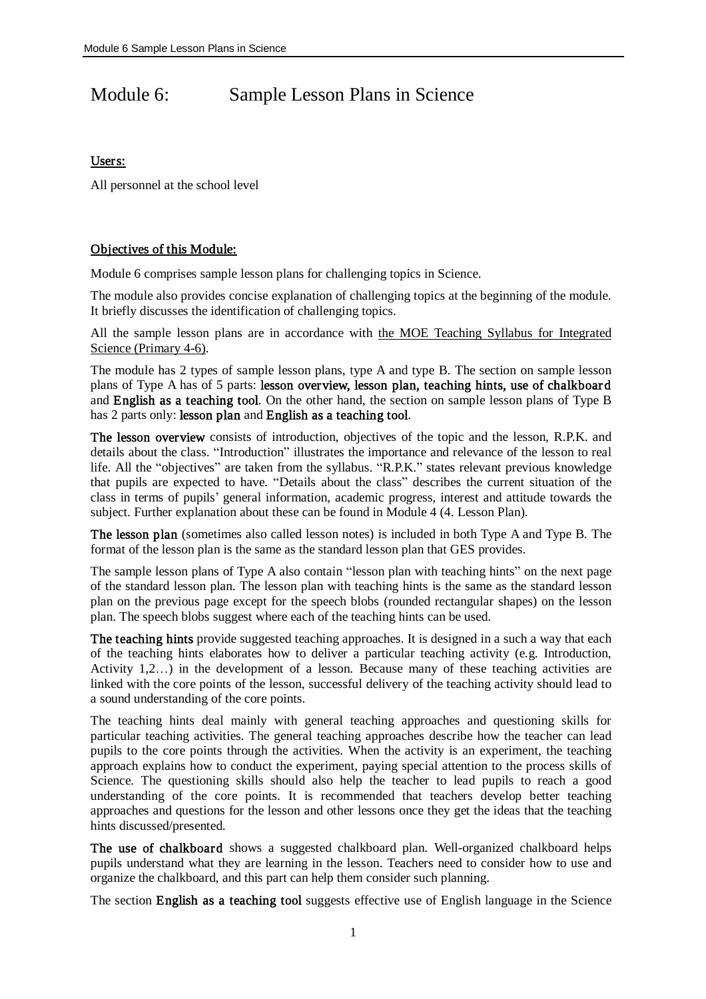# Module 6: Sample Lesson Plans in Science

## Users:

All personnel at the school level

## Objectives of this Module:

Module 6 comprises sample lesson plans for challenging topics in Science.

The module also provides concise explanation of challenging topics at the beginning of the module. It briefly discusses the identification of challenging topics.

All the sample lesson plans are in accordance with the MOE Teaching Syllabus for Integrated Science (Primary 4-6).

The module has 2 types of sample lesson plans, type A and type B. The section on sample lesson plans of Type A has of 5 parts: lesson overview, lesson plan, teaching hints, use of chalkboard and English as a teaching tool. On the other hand, the section on sample lesson plans of Type B has 2 parts only: lesson plan and English as a teaching tool.

The lesson overview consists of introduction, objectives of the topic and the lesson, R.P.K. and details about the class. "Introduction" illustrates the importance and relevance of the lesson to real life. All the "objectives" are taken from the syllabus. "R.P.K." states relevant previous knowledge that pupils are expected to have. "Details about the class" describes the current situation of the class in terms of pupils' general information, academic progress, interest and attitude towards the subject. Further explanation about these can be found in Module 4 (4. Lesson Plan).

The lesson plan (sometimes also called lesson notes) is included in both Type A and Type B. The format of the lesson plan is the same as the standard lesson plan that GES provides.

The sample lesson plans of Type A also contain "lesson plan with teaching hints" on the next page of the standard lesson plan. The lesson plan with teaching hints is the same as the standard lesson plan on the previous page except for the speech blobs (rounded rectangular shapes) on the lesson plan. The speech blobs suggest where each of the teaching hints can be used.

The teaching hints provide suggested teaching approaches. It is designed in a such a way that each of the teaching hints elaborates how to deliver a particular teaching activity (e.g. Introduction, Activity 1,2…) in the development of a lesson. Because many of these teaching activities are linked with the core points of the lesson, successful delivery of the teaching activity should lead to a sound understanding of the core points.

The teaching hints deal mainly with general teaching approaches and questioning skills for particular teaching activities. The general teaching approaches describe how the teacher can lead pupils to the core points through the activities. When the activity is an experiment, the teaching approach explains how to conduct the experiment, paying special attention to the process skills of Science. The questioning skills should also help the teacher to lead pupils to reach a good understanding of the core points. It is recommended that teachers develop better teaching approaches and questions for the lesson and other lessons once they get the ideas that the teaching hints discussed/presented.

The use of chalkboard shows a suggested chalkboard plan. Well-organized chalkboard helps pupils understand what they are learning in the lesson. Teachers need to consider how to use and organize the chalkboard, and this part can help them consider such planning.

The section English as a teaching tool suggests effective use of English language in the Science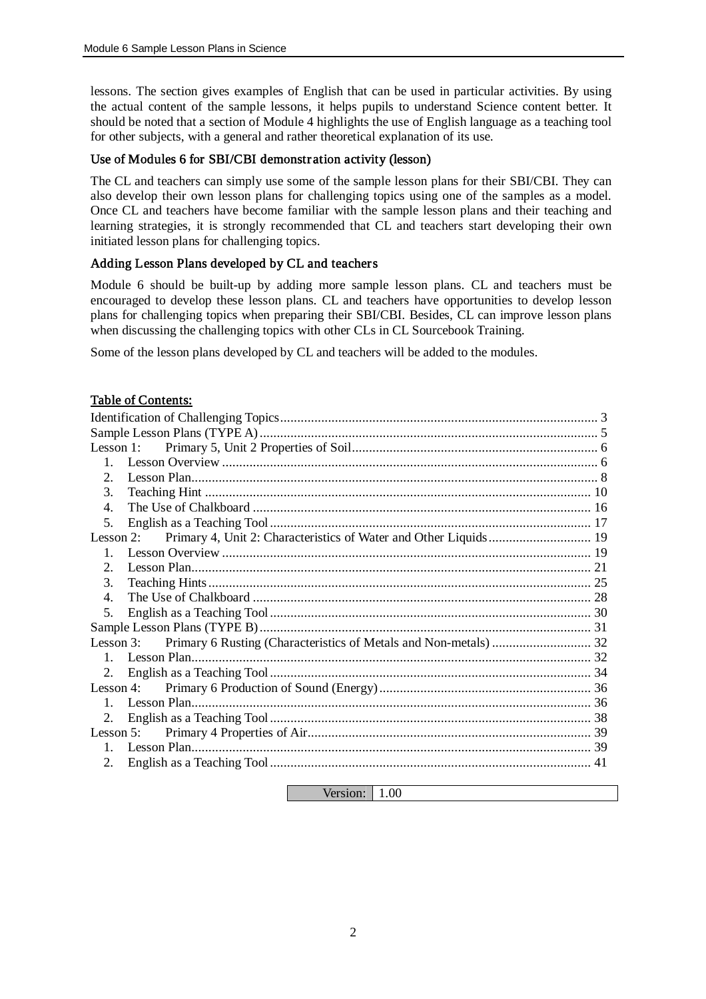lessons. The section gives examples of English that can be used in particular activities. By using the actual content of the sample lessons, it helps pupils to understand Science content better. It should be noted that a section of Module 4 highlights the use of English language as a teaching tool for other subjects, with a general and rather theoretical explanation of its use.

## Use of Modules 6 for SBI/CBI demonstr ation activity (lesson)

The CL and teachers can simply use some of the sample lesson plans for their SBI/CBI. They can also develop their own lesson plans for challenging topics using one of the samples as a model. Once CL and teachers have become familiar with the sample lesson plans and their teaching and learning strategies, it is strongly recommended that CL and teachers start developing their own initiated lesson plans for challenging topics.

### Adding Lesson Plans developed by CL and teachers

Module 6 should be built-up by adding more sample lesson plans. CL and teachers must be encouraged to develop these lesson plans. CL and teachers have opportunities to develop lesson plans for challenging topics when preparing their SBI/CBI. Besides, CL can improve lesson plans when discussing the challenging topics with other CLs in CL Sourcebook Training.

Some of the lesson plans developed by CL and teachers will be added to the modules.

### Table of Contents:

| $\mathbf{1}$                |                                                                            |    |  |  |  |
|-----------------------------|----------------------------------------------------------------------------|----|--|--|--|
| $\mathcal{D}_{\mathcal{L}}$ |                                                                            |    |  |  |  |
| 3.                          |                                                                            |    |  |  |  |
| $\overline{4}$ .            |                                                                            |    |  |  |  |
| 5.                          |                                                                            |    |  |  |  |
|                             | Lesson 2: Primary 4, Unit 2: Characteristics of Water and Other Liquids 19 |    |  |  |  |
| $\mathbf{1}$                |                                                                            |    |  |  |  |
| $\mathcal{D}_{\mathcal{L}}$ |                                                                            |    |  |  |  |
| 3.                          |                                                                            |    |  |  |  |
| 4                           |                                                                            |    |  |  |  |
| 5.                          |                                                                            |    |  |  |  |
|                             |                                                                            |    |  |  |  |
|                             |                                                                            |    |  |  |  |
|                             |                                                                            |    |  |  |  |
| 2.                          |                                                                            |    |  |  |  |
|                             |                                                                            |    |  |  |  |
| $\mathbf{1}$                |                                                                            |    |  |  |  |
| 2.                          |                                                                            |    |  |  |  |
|                             |                                                                            |    |  |  |  |
| $\mathbf{1}$                |                                                                            |    |  |  |  |
| 2.                          |                                                                            | 41 |  |  |  |
|                             |                                                                            |    |  |  |  |

Version: 1.00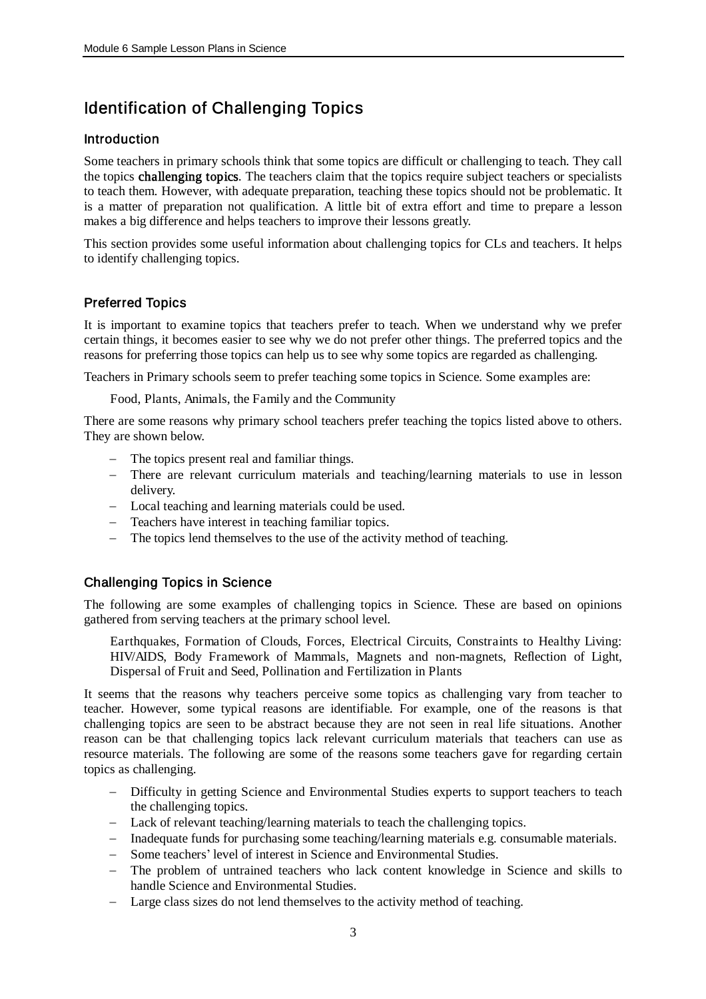## Identification of Challenging Topics

#### Introduction

Some teachers in primary schools think that some topics are difficult or challenging to teach. They call the topics **challenging topics**. The teachers claim that the topics require subject teachers or specialists to teach them. However, with adequate preparation, teaching these topics should not be problematic. It is a matter of preparation not qualification. A little bit of extra effort and time to prepare a lesson makes a big difference and helps teachers to improve their lessons greatly.

This section provides some useful information about challenging topics for CLs and teachers. It helps to identify challenging topics.

## Preferred Topics

It is important to examine topics that teachers prefer to teach. When we understand why we prefer certain things, it becomes easier to see why we do not prefer other things. The preferred topics and the reasons for preferring those topics can help us to see why some topics are regarded as challenging.

Teachers in Primary schools seem to prefer teaching some topics in Science. Some examples are:

Food, Plants, Animals, the Family and the Community

There are some reasons why primary school teachers prefer teaching the topics listed above to others. They are shown below.

- The topics present real and familiar things.
- There are relevant curriculum materials and teaching/learning materials to use in lesson delivery.
- Local teaching and learning materials could be used.
- Teachers have interest in teaching familiar topics.
- The topics lend themselves to the use of the activity method of teaching.

## Challenging Topics in Science

The following are some examples of challenging topics in Science. These are based on opinions gathered from serving teachers at the primary school level.

Earthquakes, Formation of Clouds, Forces, Electrical Circuits, Constraints to Healthy Living: HIV/AIDS, Body Framework of Mammals, Magnets and non-magnets, Reflection of Light, Dispersal of Fruit and Seed, Pollination and Fertilization in Plants

It seems that the reasons why teachers perceive some topics as challenging vary from teacher to teacher. However, some typical reasons are identifiable. For example, one of the reasons is that challenging topics are seen to be abstract because they are not seen in real life situations. Another reason can be that challenging topics lack relevant curriculum materials that teachers can use as resource materials. The following are some of the reasons some teachers gave for regarding certain topics as challenging.

- Difficulty in getting Science and Environmental Studies experts to support teachers to teach the challenging topics.
- Lack of relevant teaching/learning materials to teach the challenging topics.
- Inadequate funds for purchasing some teaching/learning materials e.g. consumable materials.
- Some teachers' level of interest in Science and Environmental Studies.
- The problem of untrained teachers who lack content knowledge in Science and skills to handle Science and Environmental Studies.
- Large class sizes do not lend themselves to the activity method of teaching.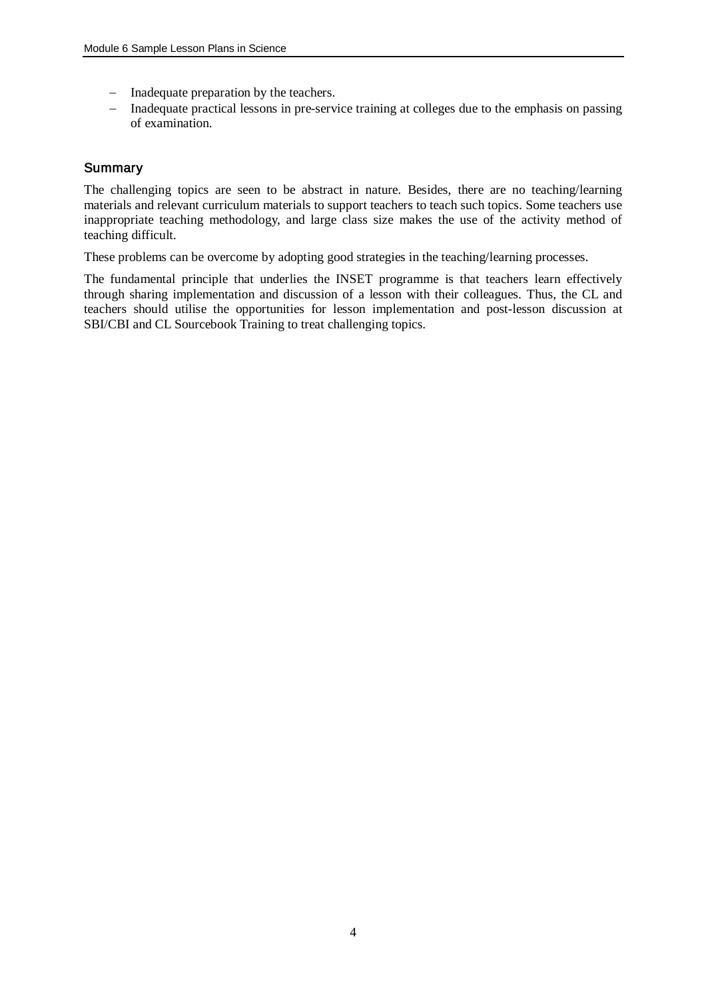- Inadequate preparation by the teachers.
- Inadequate practical lessons in pre-service training at colleges due to the emphasis on passing of examination.

## **Summary**

The challenging topics are seen to be abstract in nature. Besides, there are no teaching/learning materials and relevant curriculum materials to support teachers to teach such topics. Some teachers use inappropriate teaching methodology, and large class size makes the use of the activity method of teaching difficult.

These problems can be overcome by adopting good strategies in the teaching/learning processes.

The fundamental principle that underlies the INSET programme is that teachers learn effectively through sharing implementation and discussion of a lesson with their colleagues. Thus, the CL and teachers should utilise the opportunities for lesson implementation and post-lesson discussion at SBI/CBI and CL Sourcebook Training to treat challenging topics.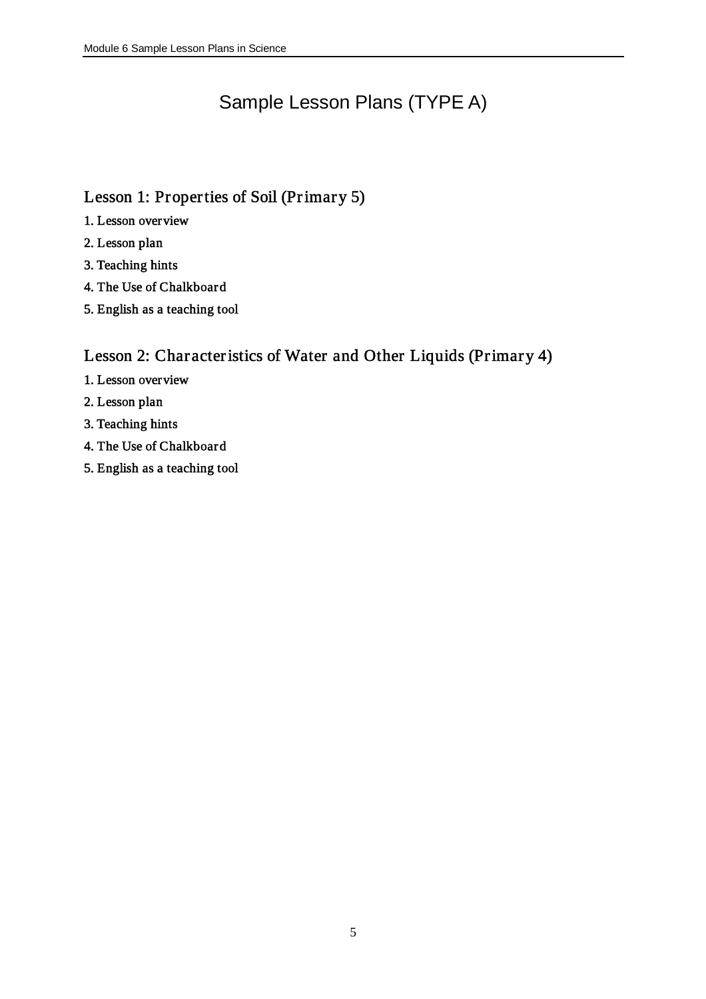# Sample Lesson Plans (TYPE A)

## Lesson 1: Properties of Soil (Primary 5)

- 1. Lesson overview
- 2. Lesson plan
- 3. Teaching hints
- 4. The Use of Chalkboard
- 5. English as a teaching tool

## Lesson 2: Char acteristics of Water and Other Liquids (Primary 4)

- 1. Lesson overview
- 2. Lesson plan
- 3. Teaching hints
- 4. The Use of Chalkboard
- 5. English as a teaching tool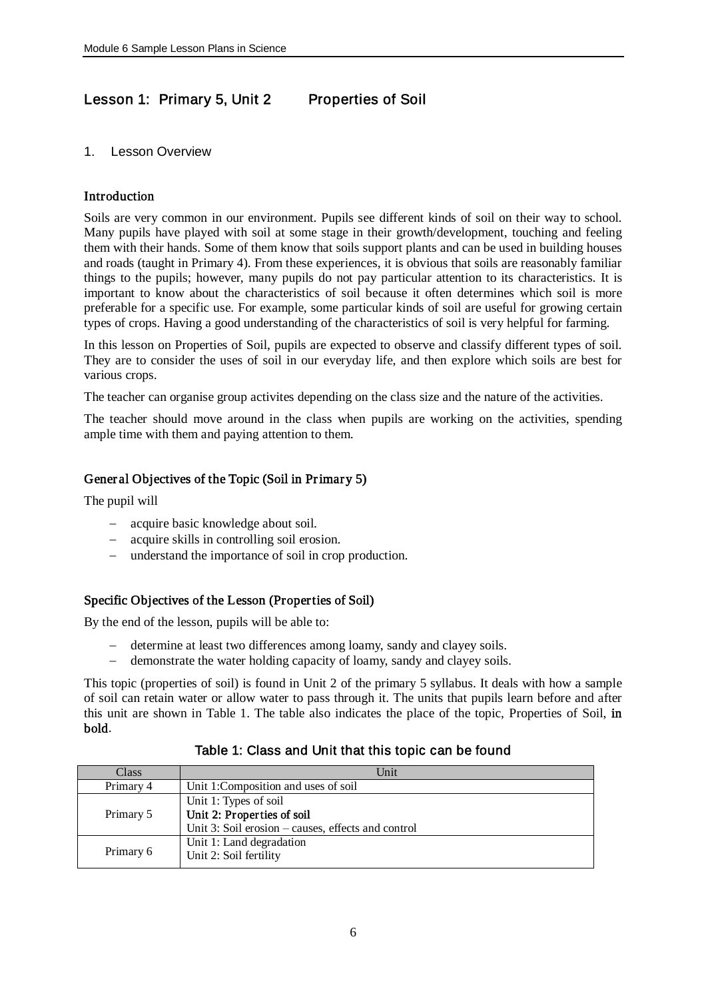## Lesson 1: Primary 5, Unit 2 Properties of Soil

## 1. Lesson Overview

## Introduction

Soils are very common in our environment. Pupils see different kinds of soil on their way to school. Many pupils have played with soil at some stage in their growth/development, touching and feeling them with their hands. Some of them know that soils support plants and can be used in building houses and roads (taught in Primary 4). From these experiences, it is obvious that soils are reasonably familiar things to the pupils; however, many pupils do not pay particular attention to its characteristics. It is important to know about the characteristics of soil because it often determines which soil is more preferable for a specific use. For example, some particular kinds of soil are useful for growing certain types of crops. Having a good understanding of the characteristics of soil is very helpful for farming.

In this lesson on Properties of Soil, pupils are expected to observe and classify different types of soil. They are to consider the uses of soil in our everyday life, and then explore which soils are best for various crops.

The teacher can organise group activites depending on the class size and the nature of the activities.

The teacher should move around in the class when pupils are working on the activities, spending ample time with them and paying attention to them.

## Gener al Objectives of the Topic (Soil in Primary 5)

The pupil will

- acquire basic knowledge about soil.
- acquire skills in controlling soil erosion.
- understand the importance of soil in crop production.

## Specific Objectives of the Lesson (Properties of Soil)

By the end of the lesson, pupils will be able to:

- determine at least two differences among loamy, sandy and clayey soils.
- demonstrate the water holding capacity of loamy, sandy and clayey soils.

This topic (properties of soil) is found in Unit 2 of the primary 5 syllabus. It deals with how a sample of soil can retain water or allow water to pass through it. The units that pupils learn before and after this unit are shown in Table 1. The table also indicates the place of the topic, Properties of Soil, in bold.

| Class     | Unit                                               |
|-----------|----------------------------------------------------|
| Primary 4 | Unit 1: Composition and uses of soil               |
|           | Unit 1: Types of soil                              |
| Primary 5 | Unit 2: Properties of soil                         |
|           | Unit 3: Soil erosion – causes, effects and control |
|           | Unit 1: Land degradation                           |
| Primary 6 | Unit 2: Soil fertility                             |

## Table 1: Class and Unit that this topic can be found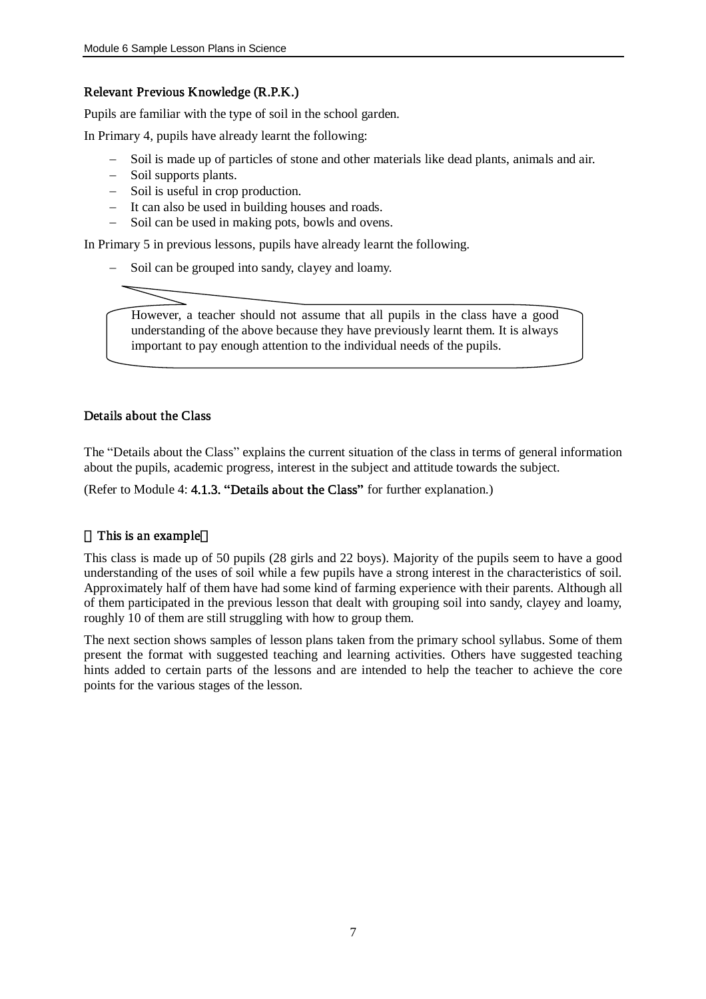## Relevant Previous Knowledge (R.P.K.)

Pupils are familiar with the type of soil in the school garden.

In Primary 4, pupils have already learnt the following:

- Soil is made up of particles of stone and other materials like dead plants, animals and air.
- Soil supports plants.
- Soil is useful in crop production.
- $-I$  It can also be used in building houses and roads.
- Soil can be used in making pots, bowls and ovens.

In Primary 5 in previous lessons, pupils have already learnt the following.

Soil can be grouped into sandy, clayey and loamy.



However, a teacher should not assume that all pupils in the class have a good understanding of the above because they have previously learnt them. It is always important to pay enough attention to the individual needs of the pupils.

#### Details about the Class

The "Details about the Class" explains the current situation of the class in terms of general information about the pupils, academic progress, interest in the subject and attitude towards the subject.

(Refer to Module 4: 4.1.3. "Details about the Class" for further explanation.)

#### This is an example

This class is made up of 50 pupils (28 girls and 22 boys). Majority of the pupils seem to have a good understanding of the uses of soil while a few pupils have a strong interest in the characteristics of soil. Approximately half of them have had some kind of farming experience with their parents. Although all of them participated in the previous lesson that dealt with grouping soil into sandy, clayey and loamy, roughly 10 of them are still struggling with how to group them.

The next section shows samples of lesson plans taken from the primary school syllabus. Some of them present the format with suggested teaching and learning activities. Others have suggested teaching hints added to certain parts of the lessons and are intended to help the teacher to achieve the core points for the various stages of the lesson.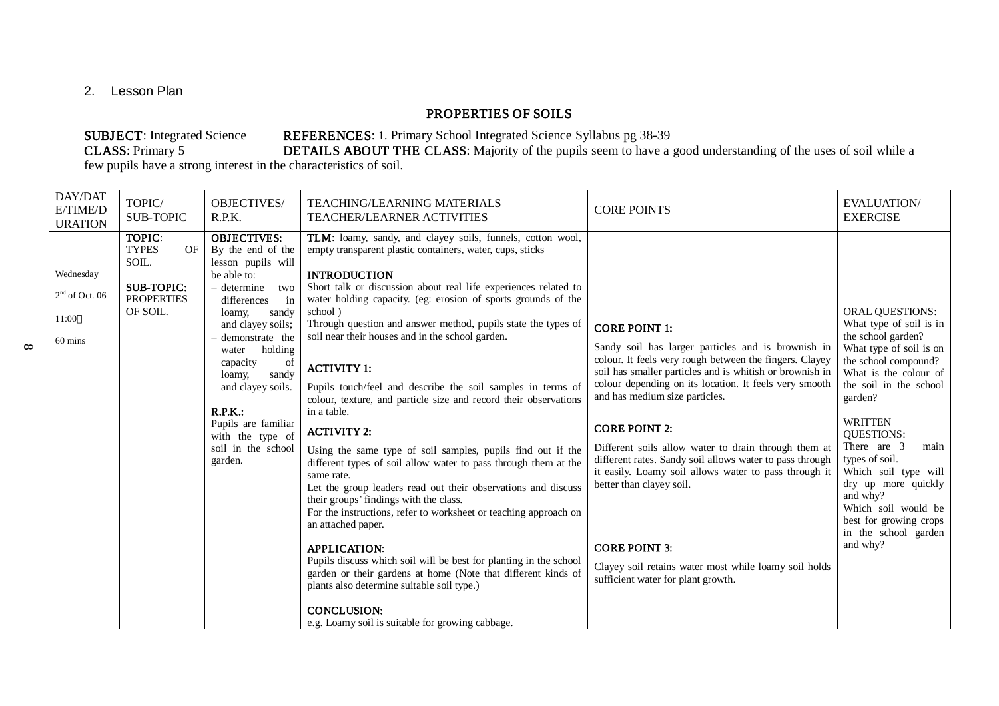2. Lesson Plan

 $\infty$ 

## PROPERTIES OF SOILS

## SUBJECT: Integrated Science REFERENCES: 1. Primary School Integrated Science Syllabus pg 38-39<br>CLASS: Primary 5 DETAILS ABOUT THE CLASS: Majority of the pupils seem to have a DETAILS ABOUT THE CLASS: Majority of the pupils seem to have a good understanding of the uses of soil while a

few pupils have a strong interest in the characteristics of soil.

| TOPIC/<br><b>OBJECTIVES/</b><br><b>TEACHING/LEARNING MATERIALS</b><br><b>EVALUATION/</b><br>E/TIME/D<br><b>CORE POINTS</b><br><b>SUB-TOPIC</b><br>R.P.K.<br><b>TEACHER/LEARNER ACTIVITIES</b><br><b>EXERCISE</b><br><b>URATION</b>                                                                                                                                                                                                                                                                                                                                                                                                                                                                                                                                                                                                                                                                                                                                                                                                                                                                                                                                                                                                                                                                                                                                                                                                                                                                                                                                                                                                                                                                                                                                                                                                                                                                                                                                                                                                                                                                                                                                                                                                                                                                                                                                                                                                                                                                                                                                    | DAY/DAT |  |  |                                                                                                                                                                                                                                                                                  |
|-----------------------------------------------------------------------------------------------------------------------------------------------------------------------------------------------------------------------------------------------------------------------------------------------------------------------------------------------------------------------------------------------------------------------------------------------------------------------------------------------------------------------------------------------------------------------------------------------------------------------------------------------------------------------------------------------------------------------------------------------------------------------------------------------------------------------------------------------------------------------------------------------------------------------------------------------------------------------------------------------------------------------------------------------------------------------------------------------------------------------------------------------------------------------------------------------------------------------------------------------------------------------------------------------------------------------------------------------------------------------------------------------------------------------------------------------------------------------------------------------------------------------------------------------------------------------------------------------------------------------------------------------------------------------------------------------------------------------------------------------------------------------------------------------------------------------------------------------------------------------------------------------------------------------------------------------------------------------------------------------------------------------------------------------------------------------------------------------------------------------------------------------------------------------------------------------------------------------------------------------------------------------------------------------------------------------------------------------------------------------------------------------------------------------------------------------------------------------------------------------------------------------------------------------------------------------|---------|--|--|----------------------------------------------------------------------------------------------------------------------------------------------------------------------------------------------------------------------------------------------------------------------------------|
| TOPIC:<br><b>OBJECTIVES:</b><br>TLM: loamy, sandy, and clayey soils, funnels, cotton wool,<br><b>TYPES</b><br>OF<br>By the end of the<br>empty transparent plastic containers, water, cups, sticks<br>SOIL.<br>lesson pupils will<br>Wednesday<br>be able to:<br><b>INTRODUCTION</b><br><b>SUB-TOPIC:</b><br>Short talk or discussion about real life experiences related to<br>$-$ determine<br>two<br>$2nd$ of Oct. 06<br><b>PROPERTIES</b><br>water holding capacity. (eg: erosion of sports grounds of the<br>differences<br>in<br>OF SOIL.<br>school)<br>sandy<br>loamy,<br>11:00<br>Through question and answer method, pupils state the types of<br>and clayey soils;<br><b>CORE POINT 1:</b><br>soil near their houses and in the school garden.<br>the school garden?<br>demonstrate the<br>60 mins<br>Sandy soil has larger particles and is brownish in<br>holding<br>water<br>colour. It feels very rough between the fingers. Clayey<br>capacity<br>of<br><b>ACTIVITY 1:</b><br>soil has smaller particles and is whitish or brownish in<br>sandy<br>loamy,<br>colour depending on its location. It feels very smooth<br>and clayey soils.<br>Pupils touch/feel and describe the soil samples in terms of<br>and has medium size particles.<br>garden?<br>colour, texture, and particle size and record their observations<br>R.P.K.:<br>in a table.<br><b>WRITTEN</b><br>Pupils are familiar<br><b>CORE POINT 2:</b><br><b>ACTIVITY 2:</b><br><b>QUESTIONS:</b><br>with the type of<br>There are 3<br>Different soils allow water to drain through them at<br>soil in the school<br>Using the same type of soil samples, pupils find out if the<br>types of soil.<br>different rates. Sandy soil allows water to pass through<br>garden.<br>different types of soil allow water to pass through them at the<br>it easily. Loamy soil allows water to pass through it<br>same rate.<br>better than clayey soil.<br>Let the group leaders read out their observations and discuss<br>and why?<br>their groups' findings with the class.<br>For the instructions, refer to worksheet or teaching approach on<br>an attached paper.<br>and why?<br><b>CORE POINT 3:</b><br><b>APPLICATION:</b><br>Pupils discuss which soil will be best for planting in the school<br>Clayey soil retains water most while loamy soil holds<br>garden or their gardens at home (Note that different kinds of<br>sufficient water for plant growth.<br>plants also determine suitable soil type.)<br><b>CONCLUSION:</b><br>e.g. Loamy soil is suitable for growing cabbage. |         |  |  | ORAL QUESTIONS:<br>What type of soil is in<br>What type of soil is on<br>the school compound?<br>What is the colour of<br>the soil in the school<br>main<br>Which soil type will<br>dry up more quickly<br>Which soil would be<br>best for growing crops<br>in the school garden |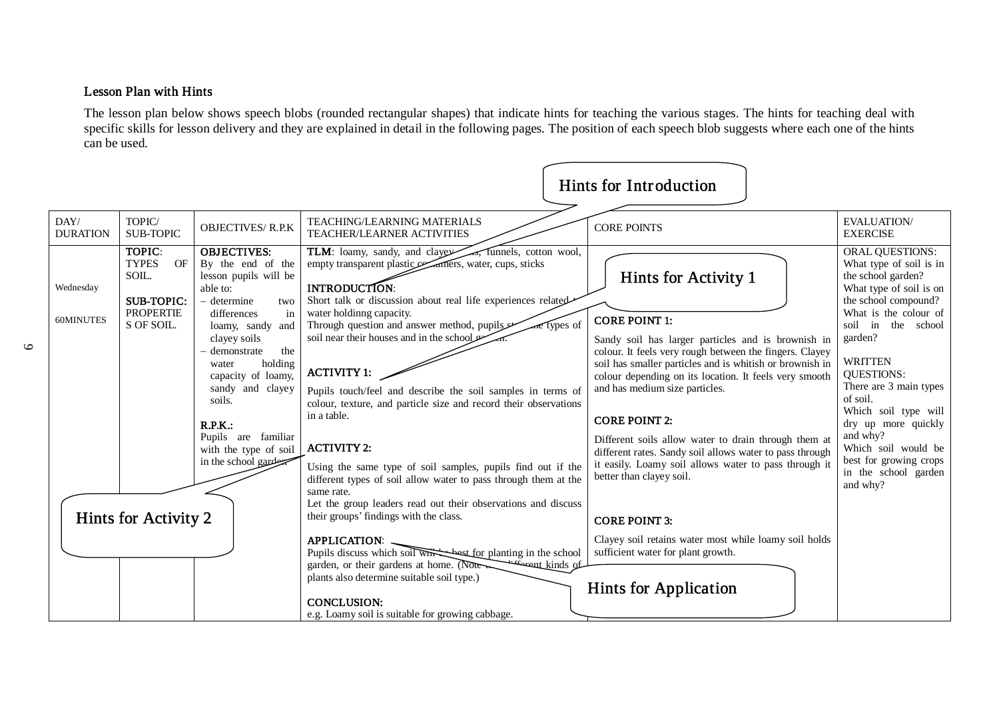## Lesson Plan with Hints

The lesson plan below shows speech blobs (rounded rectangular shapes) that indicate hints for teaching the various stages. The hints for teaching deal with specific skills for lesson delivery and they are explained in detail in the following pages. The position of each speech blob suggests where each one of the hints can be used.

|                         |                                                                                                                      |                                                                                                                                                                                                                                                                                                                                                |                                                                                                                                                                                                                                                                                                                                                                                                                                                                                                                                                                                                                                                                                                                                                                                                                                                                                                                                                                                                                     | <b>Hints for Introduction</b>                                                                                                                                                                                                                                                                                                                                                                                                                                                                                                                                                                                                                                                 |                                                                                                                                                                                                                                                                                                                                                                                                                         |
|-------------------------|----------------------------------------------------------------------------------------------------------------------|------------------------------------------------------------------------------------------------------------------------------------------------------------------------------------------------------------------------------------------------------------------------------------------------------------------------------------------------|---------------------------------------------------------------------------------------------------------------------------------------------------------------------------------------------------------------------------------------------------------------------------------------------------------------------------------------------------------------------------------------------------------------------------------------------------------------------------------------------------------------------------------------------------------------------------------------------------------------------------------------------------------------------------------------------------------------------------------------------------------------------------------------------------------------------------------------------------------------------------------------------------------------------------------------------------------------------------------------------------------------------|-------------------------------------------------------------------------------------------------------------------------------------------------------------------------------------------------------------------------------------------------------------------------------------------------------------------------------------------------------------------------------------------------------------------------------------------------------------------------------------------------------------------------------------------------------------------------------------------------------------------------------------------------------------------------------|-------------------------------------------------------------------------------------------------------------------------------------------------------------------------------------------------------------------------------------------------------------------------------------------------------------------------------------------------------------------------------------------------------------------------|
| DAY/<br><b>DURATION</b> | TOPIC/<br><b>SUB-TOPIC</b>                                                                                           | <b>OBJECTIVES/R.P.K</b>                                                                                                                                                                                                                                                                                                                        | TEACHING/LEARNING MATERIALS<br>TEACHER/LEARNER ACTIVITIES                                                                                                                                                                                                                                                                                                                                                                                                                                                                                                                                                                                                                                                                                                                                                                                                                                                                                                                                                           | <b>CORE POINTS</b>                                                                                                                                                                                                                                                                                                                                                                                                                                                                                                                                                                                                                                                            | <b>EVALUATION/</b><br><b>EXERCISE</b>                                                                                                                                                                                                                                                                                                                                                                                   |
| Wednesday<br>60MINUTES  | TOPIC:<br><b>TYPES</b><br>OF<br>SOIL.<br><b>SUB-TOPIC:</b><br><b>PROPERTIE</b><br>S OF SOIL.<br>Hints for Activity 2 | <b>OBJECTIVES:</b><br>By the end of the<br>lesson pupils will be<br>able to:<br>- determine<br>two<br>differences<br>in<br>loamy, sandy and<br>clayey soils<br>the<br>- demonstrate<br>holding<br>water<br>capacity of loamy,<br>sandy and clayey<br>soils.<br>R.P.K.:<br>Pupils are familiar<br>with the type of soil<br>in the school garden | TLM: loamy, sandy, and clayer<br>5, funnels, cotton wool,<br>empty transparent plastic examers, water, cups, sticks<br>INTRODUCTION:<br>Short talk or discussion about real life experiences related<br>water holdinng capacity.<br>Through question and answer method, pupils<br>are types of<br>soil near their houses and in the school<br><b>ACTIVITY 1:</b><br>Pupils touch/feel and describe the soil samples in terms of<br>colour, texture, and particle size and record their observations<br>in a table.<br><b>ACTIVITY 2:</b><br>Using the same type of soil samples, pupils find out if the<br>different types of soil allow water to pass through them at the<br>same rate.<br>Let the group leaders read out their observations and discuss<br>their groups' findings with the class.<br><b>APPLICATION:</b><br>Pupils discuss which soil with best for planting in the school<br><u> - comment kinds</u> of<br>garden, or their gardens at home. (Note<br>plants also determine suitable soil type.) | Hints for Activity 1<br><b>CORE POINT 1:</b><br>Sandy soil has larger particles and is brownish in<br>colour. It feels very rough between the fingers. Clayey<br>soil has smaller particles and is whitish or brownish in<br>colour depending on its location. It feels very smooth<br>and has medium size particles.<br><b>CORE POINT 2:</b><br>Different soils allow water to drain through them at<br>different rates. Sandy soil allows water to pass through<br>it easily. Loamy soil allows water to pass through it<br>better than clayey soil.<br><b>CORE POINT 3:</b><br>Clayey soil retains water most while loamy soil holds<br>sufficient water for plant growth. | <b>ORAL QUESTIONS:</b><br>What type of soil is in<br>the school garden?<br>What type of soil is on<br>the school compound?<br>What is the colour of<br>soil<br>in<br>the school<br>garden?<br><b>WRITTEN</b><br><b>OUESTIONS:</b><br>There are 3 main types<br>of soil.<br>Which soil type will<br>dry up more quickly<br>and why?<br>Which soil would be<br>best for growing crops<br>in the school garden<br>and why? |
|                         |                                                                                                                      |                                                                                                                                                                                                                                                                                                                                                | <b>CONCLUSION:</b><br>e.g. Loamy soil is suitable for growing cabbage.                                                                                                                                                                                                                                                                                                                                                                                                                                                                                                                                                                                                                                                                                                                                                                                                                                                                                                                                              | <b>Hints for Application</b>                                                                                                                                                                                                                                                                                                                                                                                                                                                                                                                                                                                                                                                  |                                                                                                                                                                                                                                                                                                                                                                                                                         |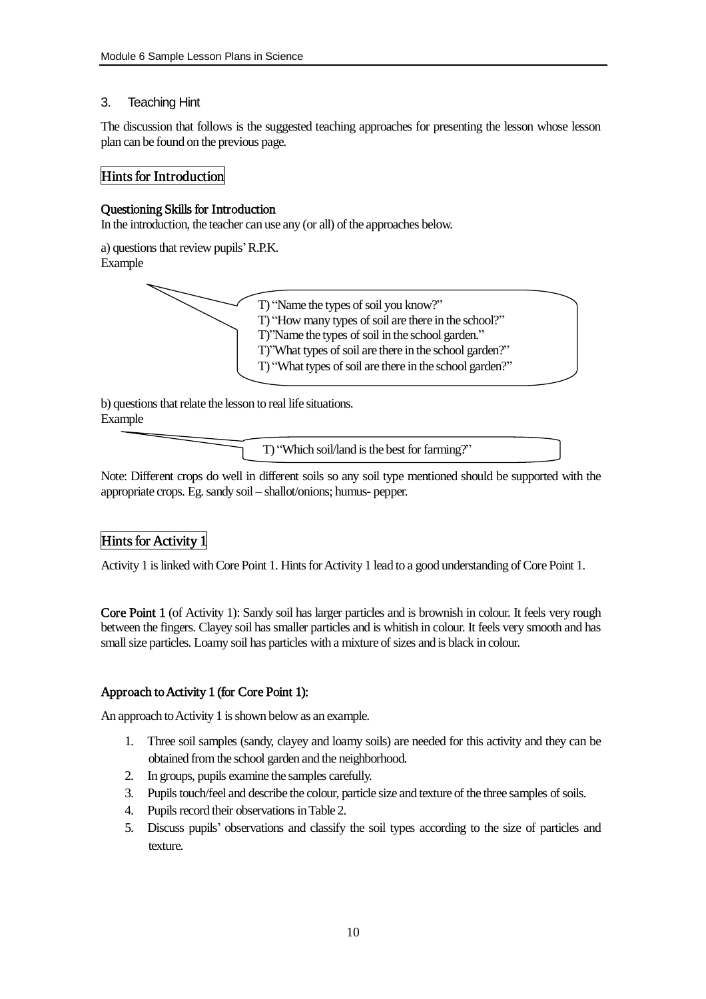### 3. Teaching Hint

The discussion that follows is the suggested teaching approaches for presenting the lesson whose lesson plan can be found on the previous page.

## Hints for Introduction

#### Questioning Skills for Introduction

In the introduction, the teacher can use any (or all) of the approaches below.

a) questions that review pupils' R.P.K. Example



b) questions that relate the lesson to real life situations. Example

T) "Which soil/land is the best for farming?"

Note: Different crops do well in different soils so any soil type mentioned should be supported with the appropriate crops. Eg.sandy soil – shallot/onions; humus- pepper.

## Hints for Activity 1

Activity 1 is linked with Core Point 1. Hints for Activity 1 lead to a good understanding of Core Point 1.

Core Point 1 (of Activity 1): Sandy soil has larger particles and is brownish in colour. It feels very rough between the fingers. Clayey soil has smaller particles and is whitish in colour. It feels very smooth and has small size particles. Loamy soil has particles with a mixture of sizes and is black in colour.

## Approach to Activity 1 (for Core Point 1):

An approach to Activity 1 is shown below as an example.

- 1. Three soil samples (sandy, clayey and loamy soils) are needed for this activity and they can be obtained from the school garden and the neighborhood.
- 2. In groups, pupils examine the samples carefully.
- 3. Pupilstouch/feel and describe the colour, particle size and texture of the three samples ofsoils.
- 4. Pupils record their observations in Table 2.
- 5. Discuss pupils' observations and classify the soil types according to the size of particles and texture.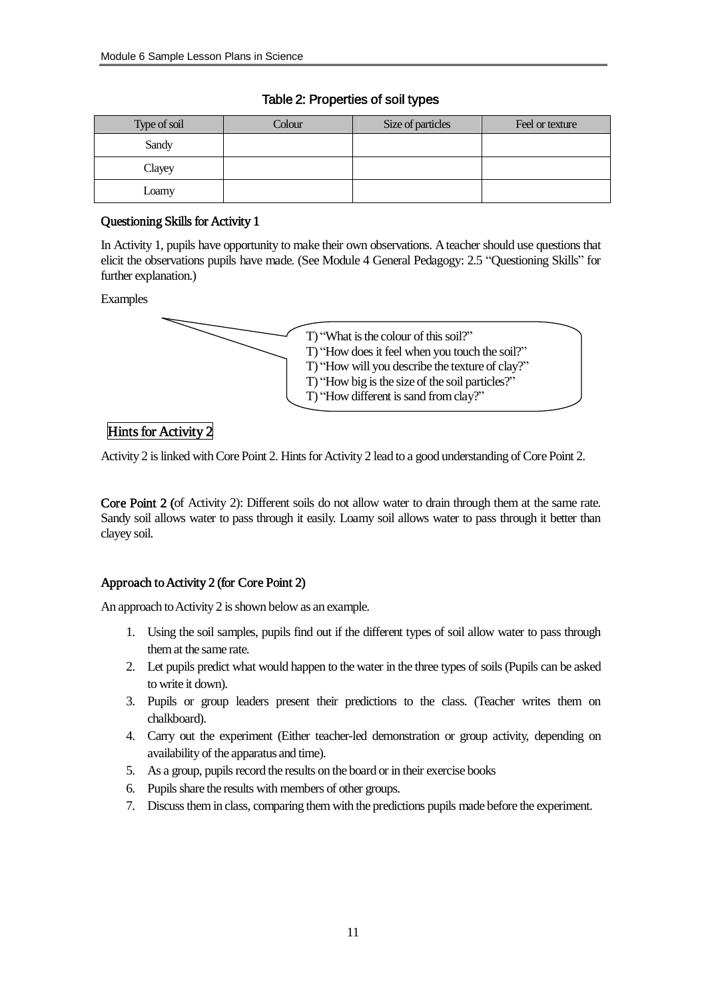| Type of soil | Colour | Size of particles | Feel or texture |
|--------------|--------|-------------------|-----------------|
| Sandy        |        |                   |                 |
| Clayey       |        |                   |                 |
| Loamy        |        |                   |                 |

### Table 2: Properties of soil types

## Questioning Skills for Activity 1

In Activity 1, pupils have opportunity to make their own observations. Ateacher should use questions that elicit the observations pupils have made. (See Module 4 General Pedagogy: 2.5 "Questioning Skills" for further explanation.)

Examples



## Hints for Activity 2

Activity 2 is linked with Core Point 2. Hints for Activity 2 lead to a good understanding of Core Point 2.

Core Point 2 (of Activity 2): Different soils do not allow water to drain through them at the same rate. Sandy soil allows water to pass through it easily. Loamy soil allows water to pass through it better than clayey soil.

## Approach to Activity 2 (for Core Point 2)

An approach to Activity 2 is shown below as an example.

- 1. Using the soil samples, pupils find out if the different types of soil allow water to pass through themat the same rate.
- 2. Let pupils predict what would happen to the water in the three types ofsoils (Pupils can be asked to write it down).
- 3. Pupils or group leaders present their predictions to the class. (Teacher writes them on chalkboard).
- 4. Carry out the experiment (Either teacher-led demonstration or group activity, depending on availability of the apparatus and time).
- 5. As a group, pupils record the results on the board or in their exercise books
- 6. Pupils share the results with members of other groups.
- 7. Discussthem in class, comparing them with the predictions pupils made before the experiment.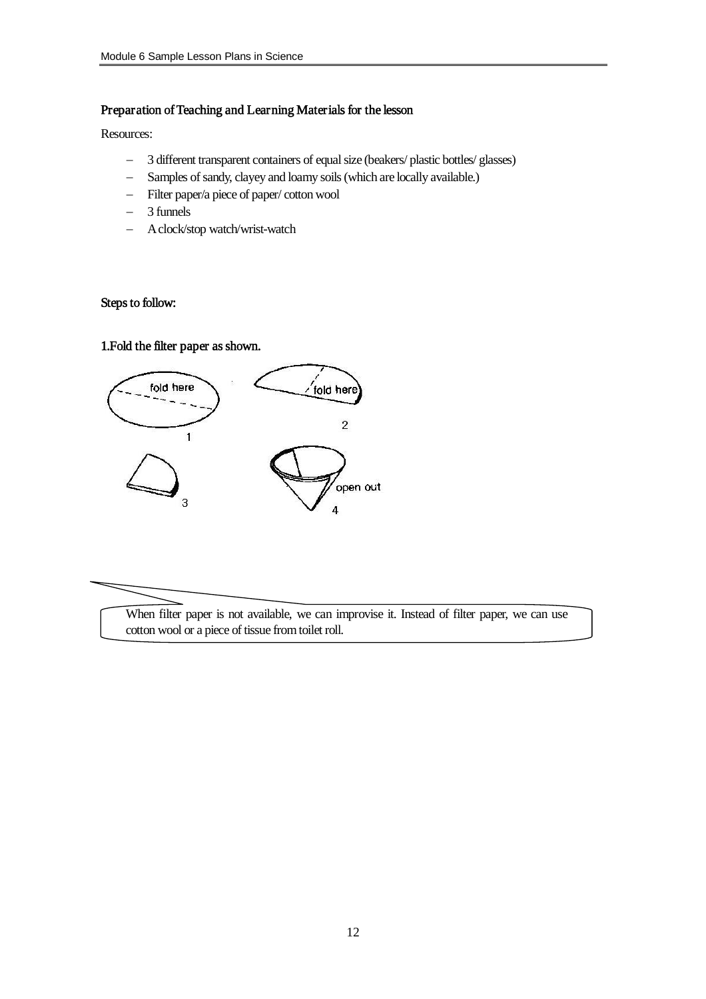#### Preparation of Teaching and Learning Materials for the lesson

Resources:

- 3 different transparent containers of equal size (beakers/ plastic bottles/ glasses)
- Samples of sandy, clayey and loamy soils (which are locally available.)
- Filter paper/a piece of paper/ cotton wool
- 3 funnels
- Aclock/stop watch/wrist-watch

## Steps to follow:

## 1.Fold the filter paper as shown.



When filter paper is not available, we can improvise it. Instead of filter paper, we can use cotton wool or a piece of tissue fromtoilet roll.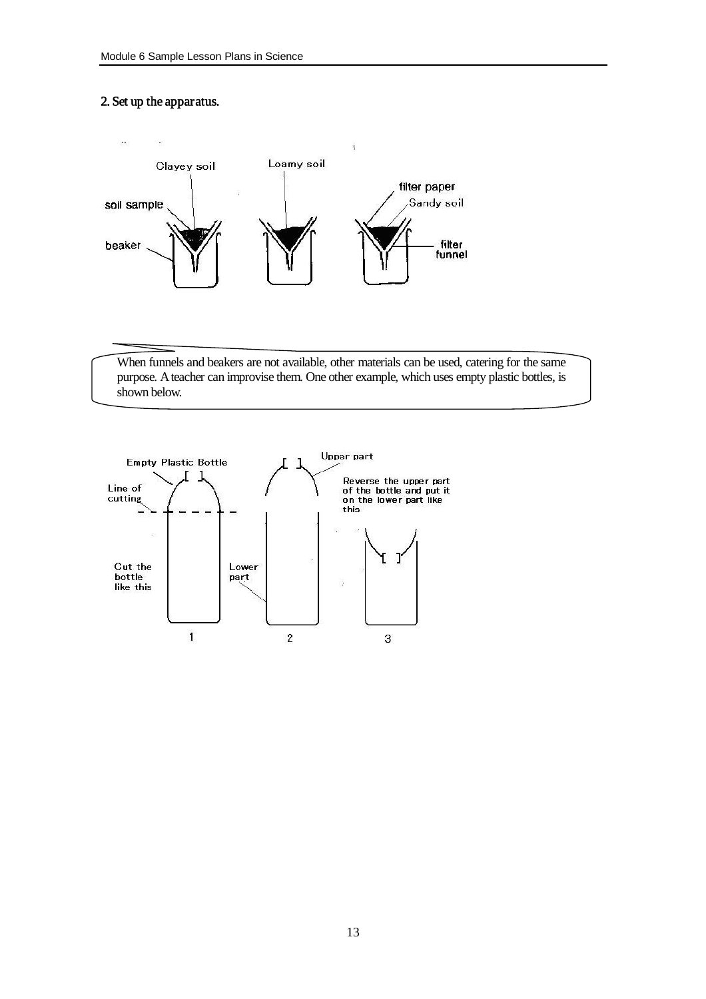## 2. Set up the apparatus.



When funnels and beakers are not available, other materials can be used, catering for the same purpose. Ateacher can improvise them. One other example, which uses empty plastic bottles, is shown below.

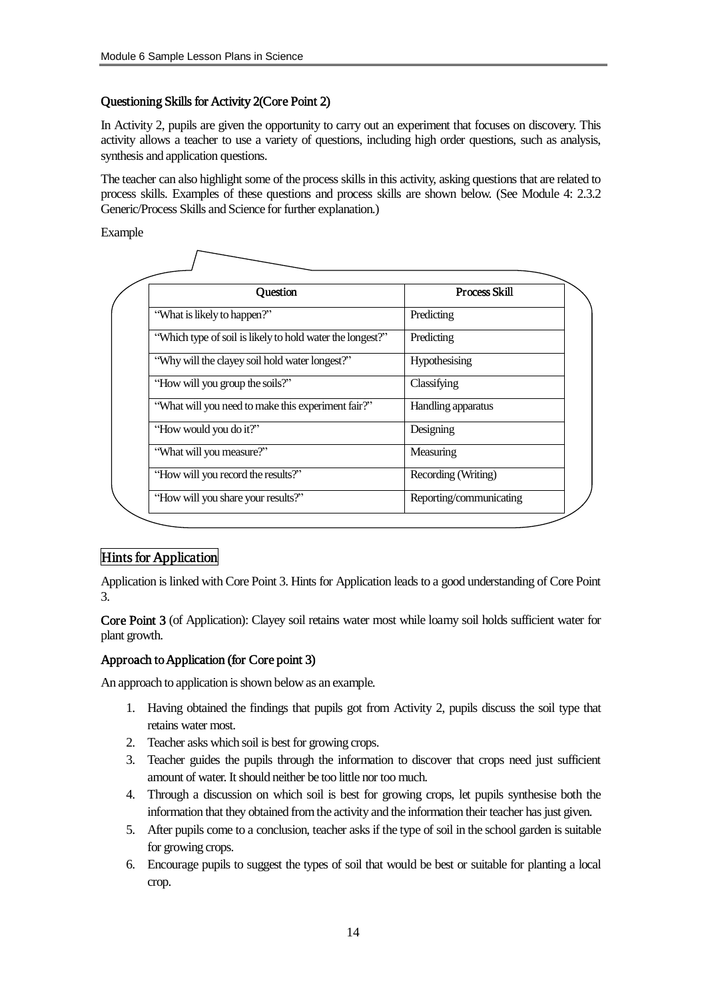## Questioning Skills for Activity 2(Core Point 2)

In Activity 2, pupils are given the opportunity to carry out an experiment that focuses on discovery. This activity allows a teacher to use a variety of questions, including high order questions, such as analysis, synthesis and application questions.

The teacher can also highlight some of the process skills in this activity, asking questions that are related to process skills. Examples of these questions and process skills are shown below. (See Module 4: 2.3.2 Generic/Process Skills and Science for further explanation.)

Example

| Question                                                  | Process Skill           |
|-----------------------------------------------------------|-------------------------|
| "What is likely to happen?"                               | Predicting              |
| "Which type of soil is likely to hold water the longest?" | Predicting              |
| "Why will the clayey soil hold water longest?"            | Hypothesising           |
| "How will you group the soils?"                           | Classifying             |
| "What will you need to make this experiment fair?"        | Handling apparatus      |
| "How would you do it?"                                    | Designing               |
| "What will you measure?"                                  | Measuring               |
| "How will you record the results?"                        | Recording (Writing)     |
| "How will you share your results?"                        | Reporting/communicating |

## Hints for Application

Application is linked with Core Point 3. Hints for Application leads to a good understanding of Core Point 3.

Core Point 3 (of Application): Clayey soil retains water most while loamy soil holds sufficient water for plant growth.

## Approach to Application (for Core point 3)

An approach to application is shown below as an example.

- 1. Having obtained the findings that pupils got from Activity 2, pupils discuss the soil type that retains water most.
- 2. Teacher asks which soil is best for growing crops.
- 3. Teacher guides the pupils through the information to discover that crops need just sufficient amount of water. It should neither be too little nor too much.
- 4. Through a discussion on which soil is best for growing crops, let pupils synthesise both the information that they obtained fromthe activity and the information their teacher hasjust given.
- 5. After pupils come to a conclusion, teacher asks if the type of soil in the school garden is suitable for growing crops.
- 6. Encourage pupils to suggest the types of soil that would be best or suitable for planting a local crop.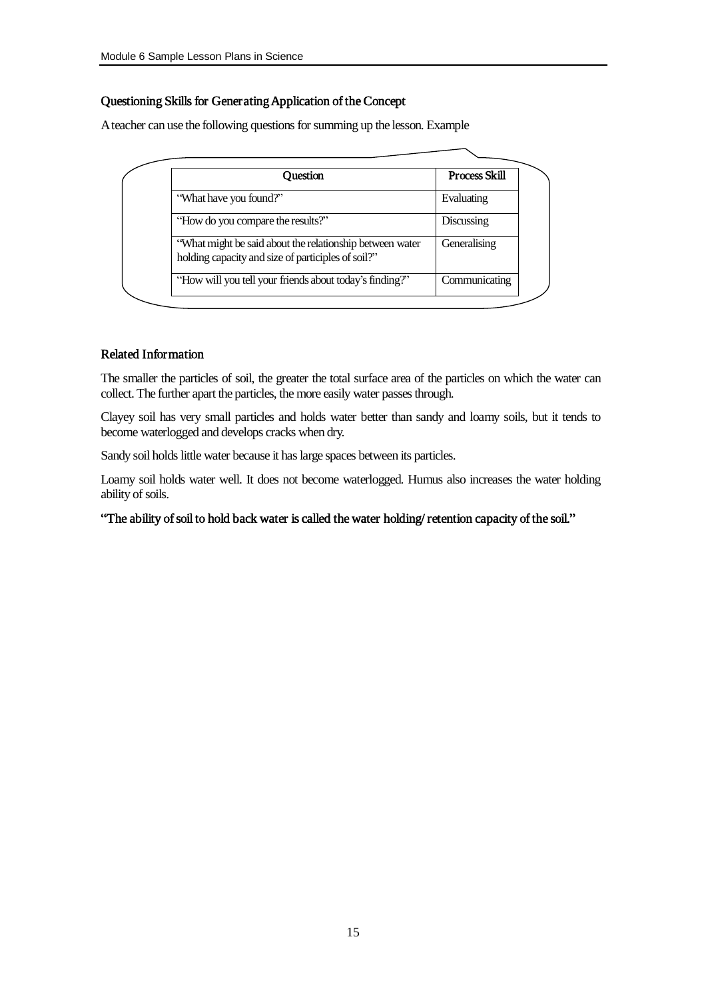## Questioning Skills for Generating Application of the Concept

A teacher can use the following questions for summing up the lesson. Example

| Ouestion                                                                                                       | <b>Process Skill</b> |
|----------------------------------------------------------------------------------------------------------------|----------------------|
| "What have you found?"                                                                                         | Evaluating           |
| "How do you compare the results?"                                                                              | Discussing           |
| "What might be said about the relationship between water<br>holding capacity and size of participles of soil?" | Generalising         |
| "How will you tell your friends about today's finding?"                                                        | Communicating        |

#### Related Information

The smaller the particles of soil, the greater the total surface area of the particles on which the water can collect. The further apart the particles, the more easily water passes through.

Clayey soil has very small particles and holds water better than sandy and loamy soils, but it tends to become waterlogged and develops cracks when dry.

Sandy soil holds little water because it has large spaces between its particles.

Loamy soil holds water well. It does not become waterlogged. Humus also increases the water holding ability of soils.

"The ability of soil to hold back water is called the water holding/ retention capacity of the soil."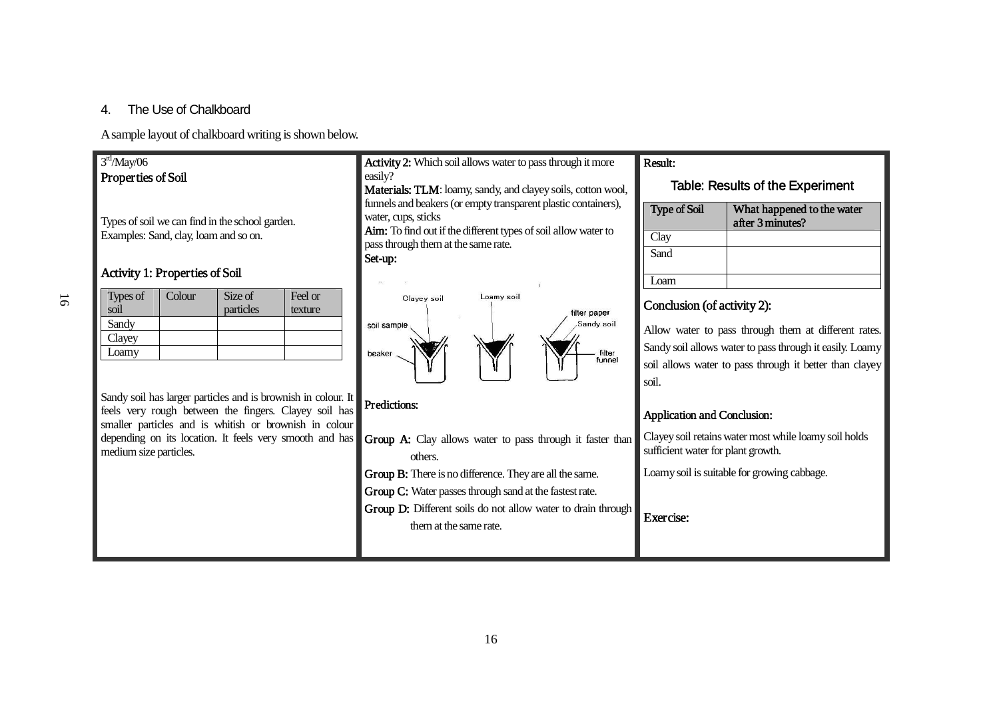## 4. The Use of Chalkboard

A sample layout of chalkboard writing is shown below.

## $3<sup>rd</sup>/May/06$ Properties of Soil

Types of soil we can find in the school garden. Examples: Sand, clay, loamand so on.

## Activity 1: Properties of Soil

| Types of | Colour | Size of   | Feel or |
|----------|--------|-----------|---------|
| soil     |        | particles | texture |
| Sandy    |        |           |         |
| Clayey   |        |           |         |
| Loamy    |        |           |         |

Sandy soil has larger particles and is brownish in colour. It feels very rough between the fingers. Clayey soil has smaller particles and is whitish or brownish in colour depending on its location. It feels very smooth and has medium size particles.

Activity 2: Which soil allows water to pass through it more easily?

Materials: TLM: loamy, sandy, and clayey soils, cotton wool, funnels and beakers (or empty transparent plastic containers), water, cups, sticks

Aim: To find out if the different types of soil allow water to passthrough themat the same rate.

Set-up:



## Predictions:

- Group A: Clay allows water to pass through it faster than others.
- Group B: There is no difference. They are all the same.
- Group C: Water passes through sand at the fastest rate.
- Group D: Different soils do not allow water to drain through themat the same rate.

## Result:

#### Table: Results of the Experiment

| <b>Type of Soil</b> | What happened to the water<br>after 3 minutes? |
|---------------------|------------------------------------------------|
| Clay                |                                                |
| Sand                |                                                |
|                     |                                                |

## Conclusion (of activity 2):

Allow water to pass through them at different rates. Sandy soil allows water to pass through it easily. Loamy soil allows water to pass through it better than clayey soil.

## Application and Conclusion:

Clayeysoil retainswatermost while loamysoil holds sufficient water for plant growth.

Loamy soil is suitable for growing cabbage.

Exercise: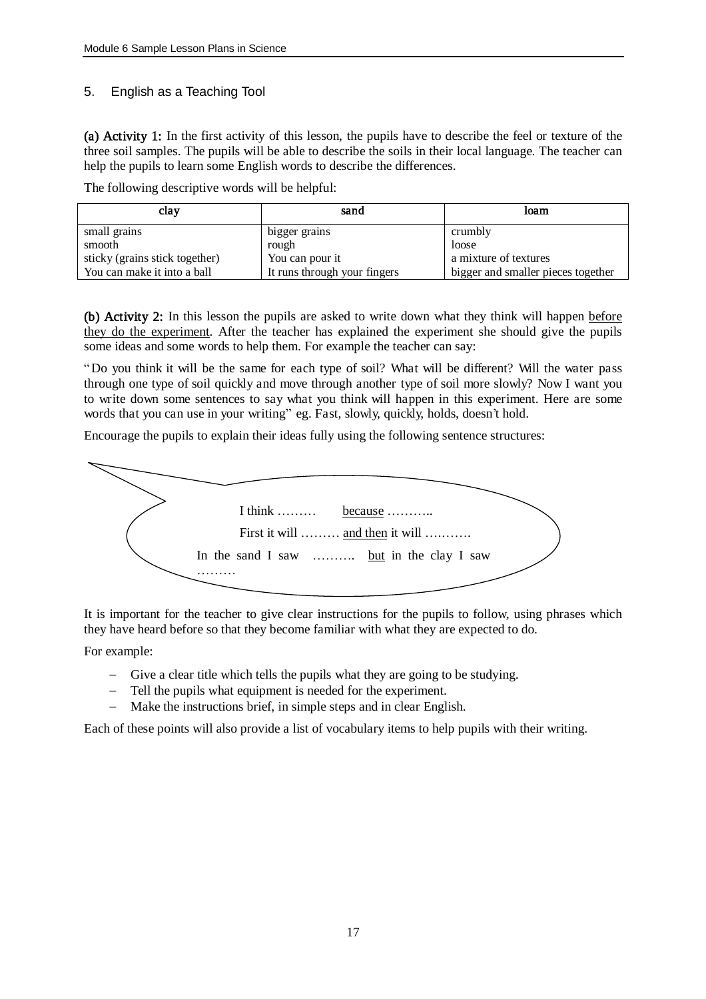## 5. English as a Teaching Tool

(a) Activity 1: In the first activity of this lesson, the pupils have to describe the feel or texture of the three soil samples. The pupils will be able to describe the soils in their local language. The teacher can help the pupils to learn some English words to describe the differences.

| clay                           | sand                         | loam                               |
|--------------------------------|------------------------------|------------------------------------|
| small grains                   | bigger grains                | crumbly                            |
| smooth                         | rough                        | loose                              |
| sticky (grains stick together) | You can pour it              | a mixture of textures              |
| You can make it into a ball    | It runs through your fingers | bigger and smaller pieces together |

The following descriptive words will be helpful:

(b) Activity 2: In this lesson the pupils are asked to write down what they think will happen before they do the experiment. After the teacher has explained the experiment she should give the pupils some ideas and some words to help them. For example the teacher can say:

"Do you think it will be the same for each type of soil? What will be different? Will the water pass through one type of soil quickly and move through another type of soil more slowly? Now I want you to write down some sentences to say what you think will happen in this experiment. Here are some words that you can use in your writing" eg. Fast, slowly, quickly, holds, doesn't hold.

Encourage the pupils to explain their ideas fully using the following sentence structures:



It is important for the teacher to give clear instructions for the pupils to follow, using phrases which they have heard before so that they become familiar with what they are expected to do.

For example:

- Give a clear title which tells the pupils what they are going to be studying.
- Tell the pupils what equipment is needed for the experiment.
- Make the instructions brief, in simple steps and in clear English.

Each of these points will also provide a list of vocabulary items to help pupils with their writing.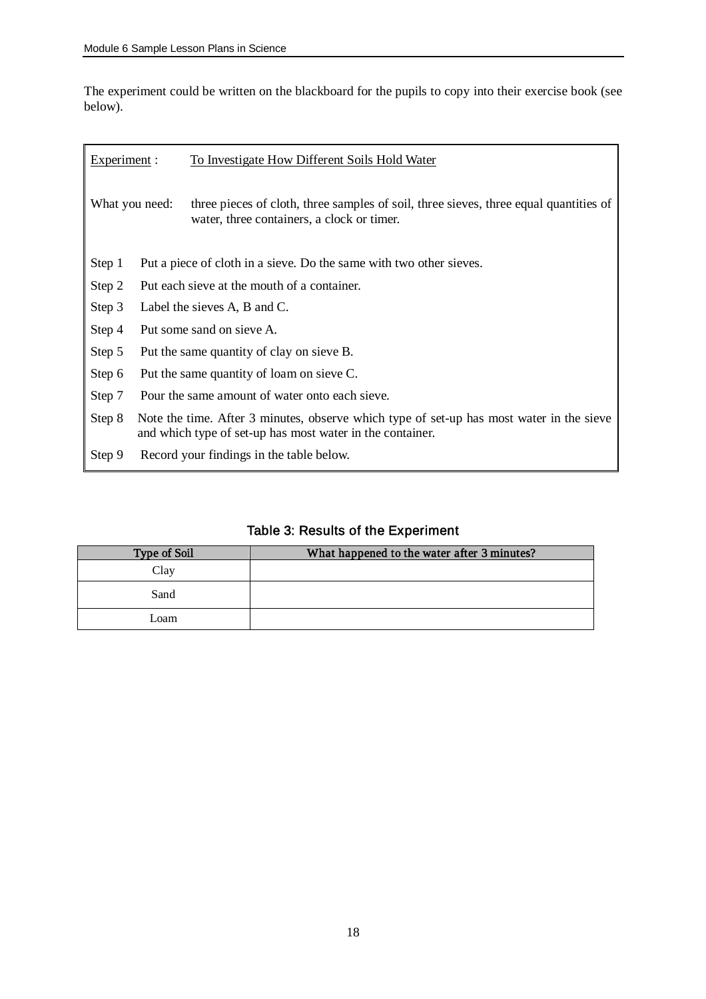The experiment could be written on the blackboard for the pupils to copy into their exercise book (see below).

| Experiment : |                                                                                                                                                       | To Investigate How Different Soils Hold Water                                                                                       |
|--------------|-------------------------------------------------------------------------------------------------------------------------------------------------------|-------------------------------------------------------------------------------------------------------------------------------------|
|              | What you need:                                                                                                                                        | three pieces of cloth, three samples of soil, three sieves, three equal quantities of<br>water, three containers, a clock or timer. |
| Step 1       |                                                                                                                                                       | Put a piece of cloth in a sieve. Do the same with two other sieves.                                                                 |
| Step 2       | Put each sieve at the mouth of a container.                                                                                                           |                                                                                                                                     |
| Step 3       | Label the sieves A, B and C.                                                                                                                          |                                                                                                                                     |
| Step 4       | Put some sand on sieve A.                                                                                                                             |                                                                                                                                     |
| Step 5       | Put the same quantity of clay on sieve B.                                                                                                             |                                                                                                                                     |
| Step 6       | Put the same quantity of loam on sieve C.                                                                                                             |                                                                                                                                     |
| Step 7       | Pour the same amount of water onto each sieve.                                                                                                        |                                                                                                                                     |
| Step 8       | Note the time. After 3 minutes, observe which type of set-up has most water in the sieve<br>and which type of set-up has most water in the container. |                                                                                                                                     |
| Step 9       |                                                                                                                                                       | Record your findings in the table below.                                                                                            |

## Table 3: Results of the Experiment

| <b>Type of Soil</b> | What happened to the water after 3 minutes? |
|---------------------|---------------------------------------------|
| Clay                |                                             |
| Sand                |                                             |
| Loam                |                                             |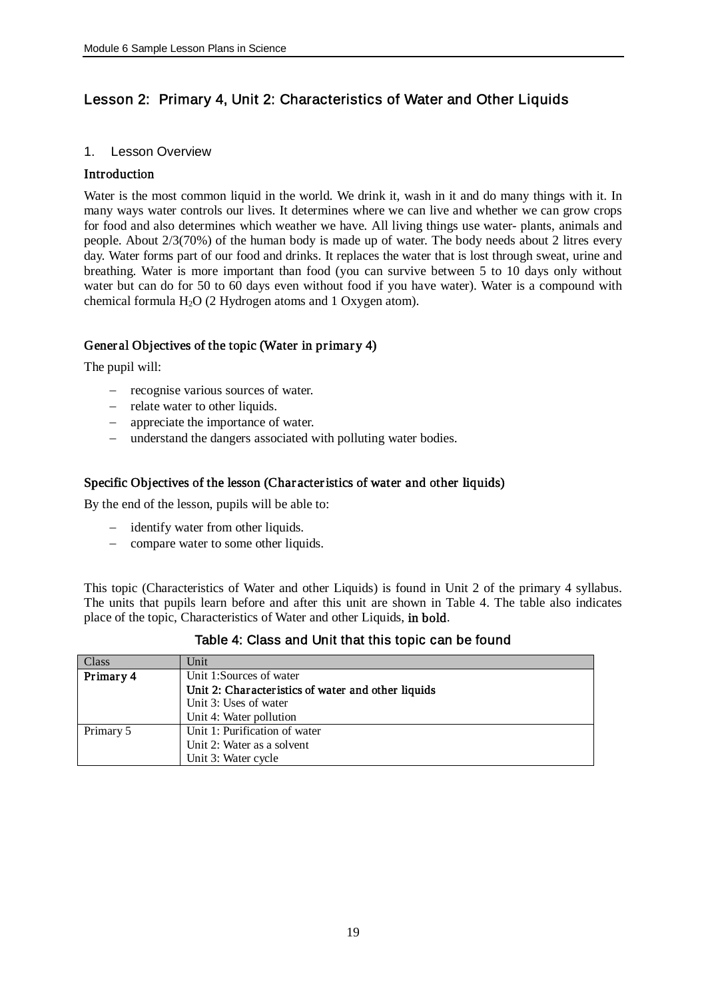## Lesson 2: Primary 4, Unit 2: Characteristics of Water and Other Liquids

## 1. Lesson Overview

## **Introduction**

Water is the most common liquid in the world. We drink it, wash in it and do many things with it. In many ways water controls our lives. It determines where we can live and whether we can grow crops for food and also determines which weather we have. All living things use water- plants, animals and people. About 2/3(70%) of the human body is made up of water. The body needs about 2 litres every day. Water forms part of our food and drinks. It replaces the water that is lost through sweat, urine and breathing. Water is more important than food (you can survive between 5 to 10 days only without water but can do for 50 to 60 days even without food if you have water). Water is a compound with chemical formula  $H_2O$  (2 Hydrogen atoms and 1 Oxygen atom).

## Gener al Objectives of the topic (Water in primary 4)

The pupil will:

- recognise various sources of water.
- relate water to other liquids.
- appreciate the importance of water.
- understand the dangers associated with polluting water bodies.

## Specific Objectives of the lesson (Char acteristics of water and other liquids)

By the end of the lesson, pupils will be able to:

- identify water from other liquids.
- compare water to some other liquids.

This topic (Characteristics of Water and other Liquids) is found in Unit 2 of the primary 4 syllabus. The units that pupils learn before and after this unit are shown in Table 4. The table also indicates place of the topic, Characteristics of Water and other Liquids, in bold.

| Class     | Unit                                               |
|-----------|----------------------------------------------------|
| Primary 4 | Unit 1:Sources of water                            |
|           | Unit 2: Characteristics of water and other liquids |
|           | Unit 3: Uses of water                              |
|           | Unit 4: Water pollution                            |
| Primary 5 | Unit 1: Purification of water                      |
|           | Unit 2: Water as a solvent                         |
|           | Unit 3: Water cycle                                |

Table 4: Class and Unit that this topic can be found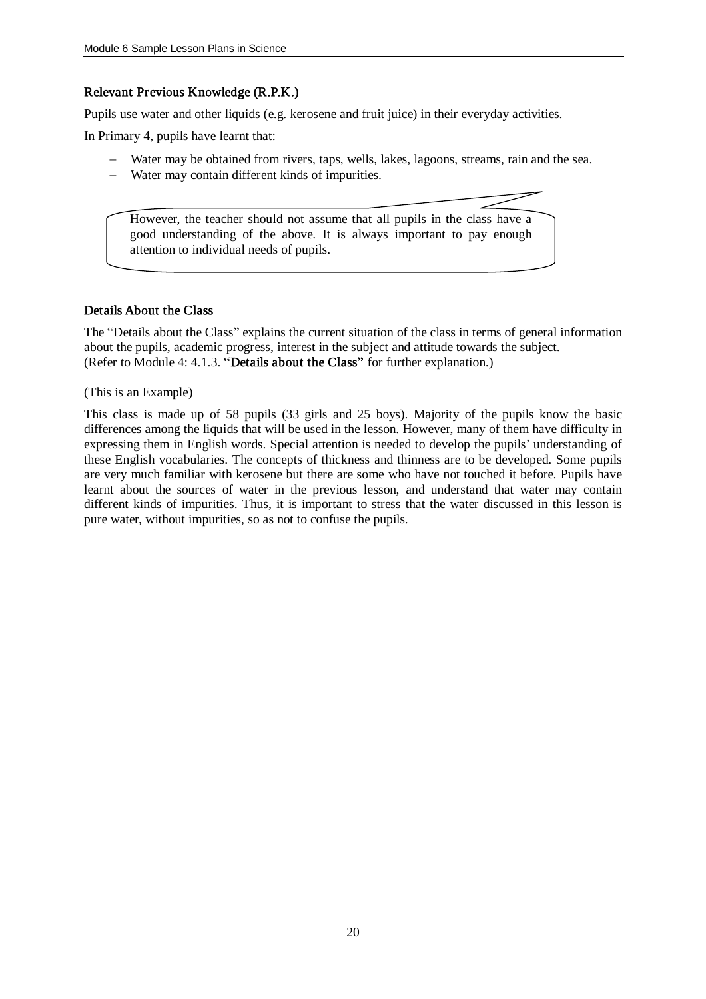## Relevant Previous Knowledge (R.P.K.)

Pupils use water and other liquids (e.g. kerosene and fruit juice) in their everyday activities.

In Primary 4, pupils have learnt that:

- Water may be obtained from rivers, taps, wells, lakes, lagoons, streams, rain and the sea.
- Water may contain different kinds of impurities.

However, the teacher should not assume that all pupils in the class have a good understanding of the above. It is always important to pay enough attention to individual needs of pupils.

#### Details About the Class

The "Details about the Class" explains the current situation of the class in terms of general information about the pupils, academic progress, interest in the subject and attitude towards the subject. (Refer to Module 4: 4.1.3. "Details about the Class" for further explanation.)

(This is an Example)

This class is made up of 58 pupils (33 girls and 25 boys). Majority of the pupils know the basic differences among the liquids that will be used in the lesson. However, many of them have difficulty in expressing them in English words. Special attention is needed to develop the pupils' understanding of these English vocabularies. The concepts of thickness and thinness are to be developed. Some pupils are very much familiar with kerosene but there are some who have not touched it before. Pupils have learnt about the sources of water in the previous lesson, and understand that water may contain different kinds of impurities. Thus, it is important to stress that the water discussed in this lesson is pure water, without impurities, so as not to confuse the pupils.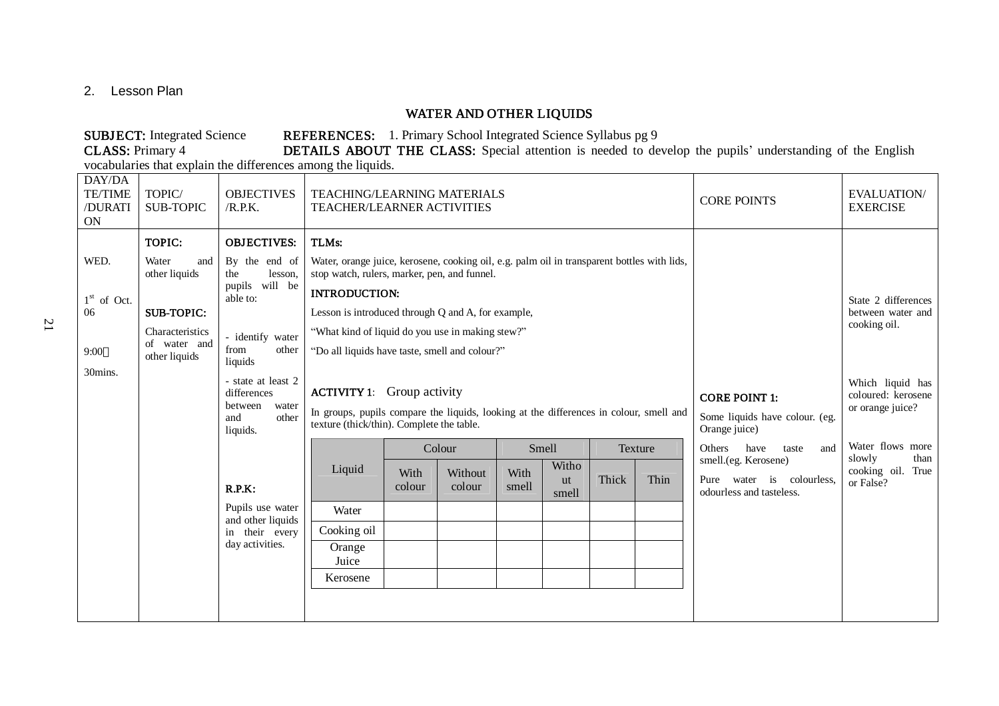2. Lesson Plan

## WATER AND OTHER LIQUIDS

SUBJECT: Integrated Science REFERENCES: 1. Primary School Integrated Science Syllabus pg 9<br>CLASS: Primary 4 DETAILS ABOUT THE CLASS: Special attention is needed to de DETAILS ABOUT THE CLASS: Special attention is needed to develop the pupils' understanding of the English

vocabularies that explain the differences among the liquids.

| DAY/DA<br><b>TE/TIME</b><br>/DURATI<br>ON | TOPIC/<br><b>SUB-TOPIC</b>    | <b>OBJECTIVES</b><br>/R.P.K.                                                      |                                                                                                                                                                          | <b>TEACHING/LEARNING MATERIALS</b><br><b>TEACHER/LEARNER ACTIVITIES</b> |                   |               |                                                                         |                                                            |                   | <b>CORE POINTS</b>                                                            | <b>EVALUATION/</b><br><b>EXERCISE</b>               |
|-------------------------------------------|-------------------------------|-----------------------------------------------------------------------------------|--------------------------------------------------------------------------------------------------------------------------------------------------------------------------|-------------------------------------------------------------------------|-------------------|---------------|-------------------------------------------------------------------------|------------------------------------------------------------|-------------------|-------------------------------------------------------------------------------|-----------------------------------------------------|
|                                           | TOPIC:                        | <b>OBJECTIVES:</b>                                                                | TLMs:                                                                                                                                                                    |                                                                         |                   |               |                                                                         |                                                            |                   |                                                                               |                                                     |
| WED.                                      | Water<br>and<br>other liquids | By the end of<br>the<br>lesson,                                                   | Water, orange juice, kerosene, cooking oil, e.g. palm oil in transparent bottles with lids,<br>stop watch, rulers, marker, pen, and funnel.                              |                                                                         |                   |               |                                                                         |                                                            |                   |                                                                               |                                                     |
| $1st$ of Oct.                             |                               | pupils will be<br>able to:                                                        |                                                                                                                                                                          | <b>INTRODUCTION:</b>                                                    |                   |               |                                                                         |                                                            |                   |                                                                               | State 2 differences                                 |
| 06                                        | <b>SUB-TOPIC:</b>             |                                                                                   | Lesson is introduced through Q and A, for example,                                                                                                                       |                                                                         |                   |               |                                                                         |                                                            | between water and |                                                                               |                                                     |
|                                           | Characteristics               | - identify water                                                                  | "What kind of liquid do you use in making stew?"                                                                                                                         |                                                                         |                   |               |                                                                         |                                                            |                   |                                                                               | cooking oil.                                        |
| 9:00                                      | of water and<br>other liquids | from<br>other<br>liquids                                                          | "Do all liquids have taste, smell and colour?"                                                                                                                           |                                                                         |                   |               |                                                                         |                                                            |                   |                                                                               |                                                     |
| 30mins.                                   |                               | - state at least 2<br>differences<br>between<br>water<br>and<br>other<br>liquids. | <b>ACTIVITY 1:</b> Group activity<br>In groups, pupils compare the liquids, looking at the differences in colour, smell and<br>texture (thick/thin). Complete the table. |                                                                         |                   |               | <b>CORE POINT 1:</b><br>Some liquids have colour. (eg.<br>Orange juice) | Which liquid has<br>coloured: kerosene<br>or orange juice? |                   |                                                                               |                                                     |
|                                           |                               |                                                                                   |                                                                                                                                                                          |                                                                         | Colour            | Smell         |                                                                         |                                                            | Texture           | <b>Others</b><br>have<br>taste<br>and                                         | Water flows more                                    |
|                                           |                               | R.P.K:                                                                            | Liquid                                                                                                                                                                   | With<br>colour                                                          | Without<br>colour | With<br>smell | Witho<br><b>ut</b><br>smell                                             | Thick                                                      | Thin              | smell.(eg. Kerosene)<br>Pure water is colourless,<br>odourless and tasteless. | slowly<br>than<br>cooking oil.<br>True<br>or False? |
|                                           |                               | Pupils use water<br>and other liquids                                             | Water                                                                                                                                                                    |                                                                         |                   |               |                                                                         |                                                            |                   |                                                                               |                                                     |
|                                           |                               | in their every                                                                    | Cooking oil                                                                                                                                                              |                                                                         |                   |               |                                                                         |                                                            |                   |                                                                               |                                                     |
|                                           |                               | day activities.                                                                   | Orange<br>Juice                                                                                                                                                          |                                                                         |                   |               |                                                                         |                                                            |                   |                                                                               |                                                     |
|                                           |                               |                                                                                   | Kerosene                                                                                                                                                                 |                                                                         |                   |               |                                                                         |                                                            |                   |                                                                               |                                                     |
|                                           |                               |                                                                                   |                                                                                                                                                                          |                                                                         |                   |               |                                                                         |                                                            |                   |                                                                               |                                                     |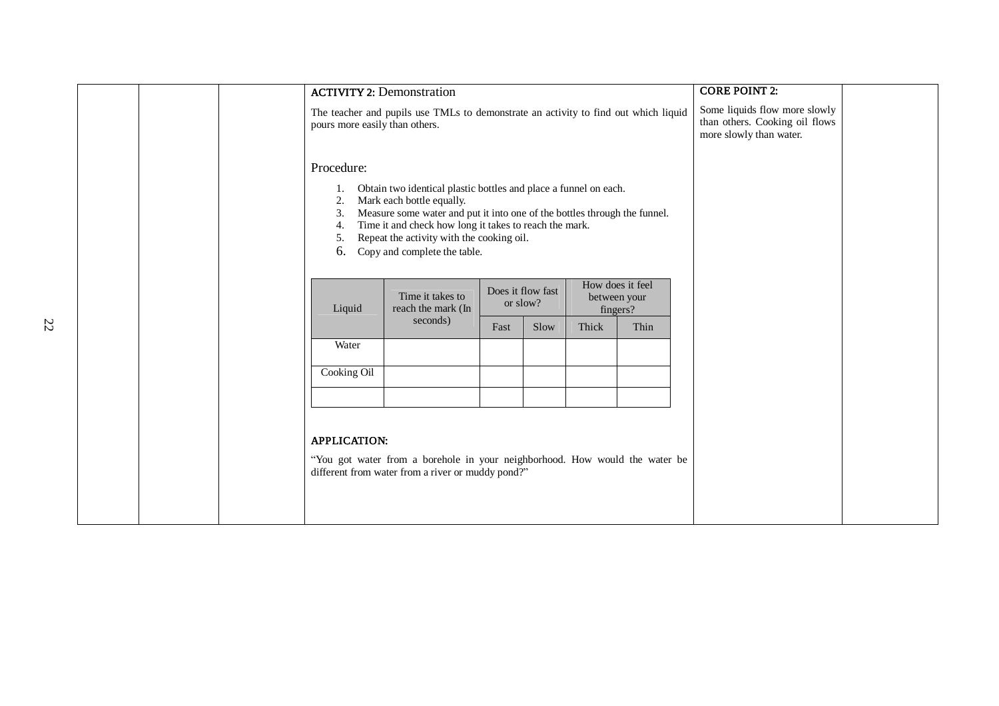|  | <b>ACTIVITY 2: Demonstration</b> |                                                                                                                                                                                                                                                                                                                   |      |      |       |      | <b>CORE POINT 2:</b>                                                                       |  |
|--|----------------------------------|-------------------------------------------------------------------------------------------------------------------------------------------------------------------------------------------------------------------------------------------------------------------------------------------------------------------|------|------|-------|------|--------------------------------------------------------------------------------------------|--|
|  | pours more easily than others.   | The teacher and pupils use TMLs to demonstrate an activity to find out which liquid                                                                                                                                                                                                                               |      |      |       |      | Some liquids flow more slowly<br>than others. Cooking oil flows<br>more slowly than water. |  |
|  | Procedure:                       |                                                                                                                                                                                                                                                                                                                   |      |      |       |      |                                                                                            |  |
|  | 2.<br>3.<br>4.<br>5.<br>6.       | Obtain two identical plastic bottles and place a funnel on each.<br>Mark each bottle equally.<br>Measure some water and put it into one of the bottles through the funnel.<br>Time it and check how long it takes to reach the mark.<br>Repeat the activity with the cooking oil.<br>Copy and complete the table. |      |      |       |      |                                                                                            |  |
|  | Liquid                           | How does it feel<br>Does it flow fast<br>Time it takes to<br>between your<br>or slow?<br>reach the mark (In<br>fingers?                                                                                                                                                                                           |      |      |       |      |                                                                                            |  |
|  |                                  | seconds)                                                                                                                                                                                                                                                                                                          | Fast | Slow | Thick | Thin |                                                                                            |  |
|  | Water                            |                                                                                                                                                                                                                                                                                                                   |      |      |       |      |                                                                                            |  |
|  | Cooking Oil                      |                                                                                                                                                                                                                                                                                                                   |      |      |       |      |                                                                                            |  |
|  |                                  |                                                                                                                                                                                                                                                                                                                   |      |      |       |      |                                                                                            |  |
|  | <b>APPLICATION:</b>              | "You got water from a borehole in your neighborhood. How would the water be<br>different from water from a river or muddy pond?"                                                                                                                                                                                  |      |      |       |      |                                                                                            |  |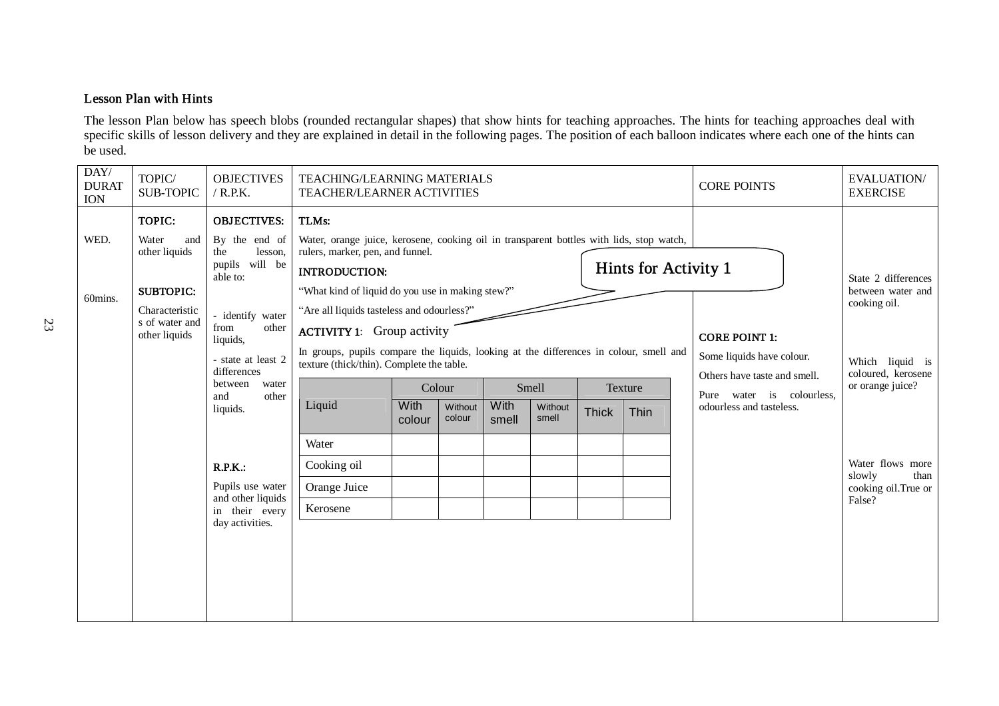## Lesson Plan with Hints

The lesson Plan below has speech blobs (rounded rectangular shapes) that show hints for teaching approaches. The hints for teaching approaches deal with specific skills of lesson delivery and they are explained in detail in the following pages. The position of each balloon indicates where each one of the hints can be used.

| DAY/<br><b>DURAT</b><br><b>ION</b> | TOPIC/<br><b>SUB-TOPIC</b>                                                                                       | <b>OBJECTIVES</b><br>$/$ R.P.K.                                                                                                                                                                                                                                                                                    |                                                                                                                                                                                                                                                                                                                                                                                                                                                                                                           | TEACHING/LEARNING MATERIALS<br><b>TEACHER/LEARNER ACTIVITIES</b> |                             |               |                           |              |                                                |  | <b>CORE POINTS</b>                                                                                                                         | <b>EVALUATION/</b><br><b>EXERCISE</b>                                                                                                                                                        |
|------------------------------------|------------------------------------------------------------------------------------------------------------------|--------------------------------------------------------------------------------------------------------------------------------------------------------------------------------------------------------------------------------------------------------------------------------------------------------------------|-----------------------------------------------------------------------------------------------------------------------------------------------------------------------------------------------------------------------------------------------------------------------------------------------------------------------------------------------------------------------------------------------------------------------------------------------------------------------------------------------------------|------------------------------------------------------------------|-----------------------------|---------------|---------------------------|--------------|------------------------------------------------|--|--------------------------------------------------------------------------------------------------------------------------------------------|----------------------------------------------------------------------------------------------------------------------------------------------------------------------------------------------|
| WED.<br>60mins.                    | TOPIC:<br>Water<br>and<br>other liquids<br><b>SUBTOPIC:</b><br>Characteristic<br>s of water and<br>other liquids | <b>OBJECTIVES:</b><br>By the end of<br>the<br>lesson,<br>pupils will be<br>able to:<br>- identify water<br>from<br>other<br>liquids,<br>- state at least 2<br>differences<br>between<br>water<br>other<br>and<br>liquids.<br>R.P.K.:<br>Pupils use water<br>and other liquids<br>in their every<br>day activities. | TLMs:<br>Water, orange juice, kerosene, cooking oil in transparent bottles with lids, stop watch,<br>rulers, marker, pen, and funnel.<br><b>INTRODUCTION:</b><br>"What kind of liquid do you use in making stew?"<br>"Are all liquids tasteless and odourless?"<br><b>ACTIVITY 1:</b> Group activity<br>In groups, pupils compare the liquids, looking at the differences in colour, smell and<br>texture (thick/thin). Complete the table.<br>Liquid<br>Water<br>Cooking oil<br>Orange Juice<br>Kerosene | With<br>colour                                                   | Colour<br>Without<br>colour | With<br>smell | Smell<br>Without<br>smell | <b>Thick</b> | Hints for Activity 1<br><b>Texture</b><br>Thin |  | <b>CORE POINT 1:</b><br>Some liquids have colour.<br>Others have taste and smell.<br>Pure water is colourless,<br>odourless and tasteless. | State 2 differences<br>between water and<br>cooking oil.<br>Which liquid is<br>coloured, kerosene<br>or orange juice?<br>Water flows more<br>slowly<br>than<br>cooking oil.True or<br>False? |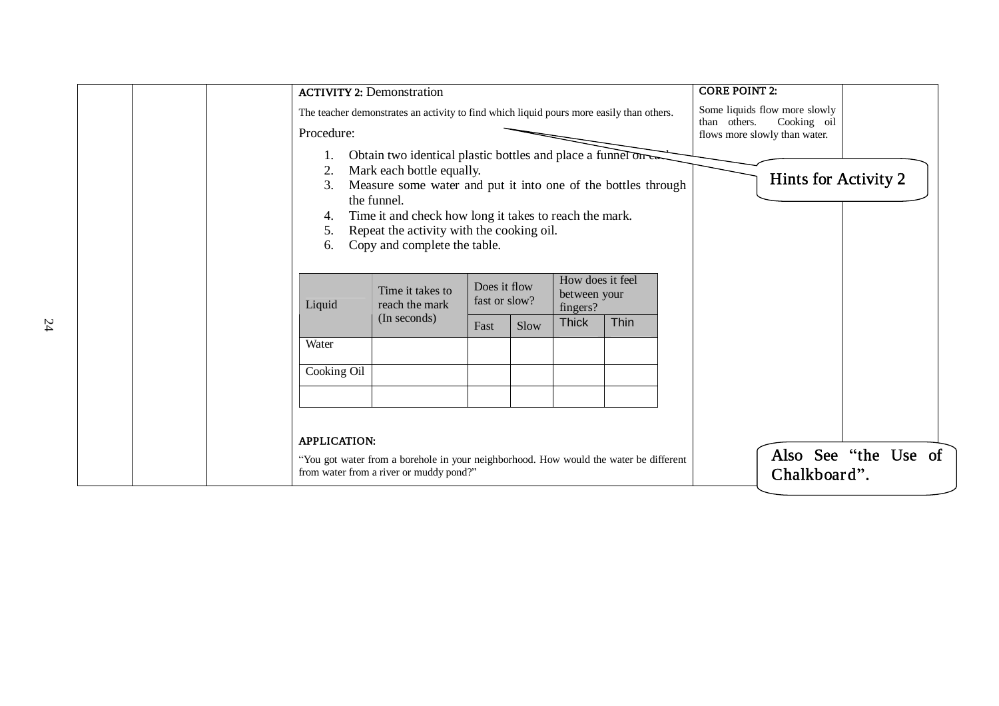| <b>ACTIVITY 2: Demonstration</b> |                                                                                                                                                                                                                                                                                                                    |                                       |      |                                                              |             | <b>CORE POINT 2:</b>                                                                          |                      |
|----------------------------------|--------------------------------------------------------------------------------------------------------------------------------------------------------------------------------------------------------------------------------------------------------------------------------------------------------------------|---------------------------------------|------|--------------------------------------------------------------|-------------|-----------------------------------------------------------------------------------------------|----------------------|
| Procedure:                       | The teacher demonstrates an activity to find which liquid pours more easily than others.                                                                                                                                                                                                                           |                                       |      |                                                              |             | Some liquids flow more slowly<br>Cooking oil<br>than others.<br>flows more slowly than water. |                      |
| 2.<br>3.<br>4.<br>5.<br>6.       | Obtain two identical plastic bottles and place a funnel on two<br>Mark each bottle equally.<br>Measure some water and put it into one of the bottles through<br>the funnel.<br>Time it and check how long it takes to reach the mark.<br>Repeat the activity with the cooking oil.<br>Copy and complete the table. |                                       |      | Hints for Activity 2                                         |             |                                                                                               |                      |
| Liquid                           | Time it takes to<br>reach the mark<br>(In seconds)                                                                                                                                                                                                                                                                 | Does it flow<br>fast or slow?<br>Fast | Slow | How does it feel<br>between your<br>fingers?<br><b>Thick</b> | <b>Thin</b> |                                                                                               |                      |
| Water                            |                                                                                                                                                                                                                                                                                                                    |                                       |      |                                                              |             |                                                                                               |                      |
| Cooking Oil                      |                                                                                                                                                                                                                                                                                                                    |                                       |      |                                                              |             |                                                                                               |                      |
| <b>APPLICATION:</b>              | "You got water from a borehole in your neighborhood. How would the water be different<br>from water from a river or muddy pond?"                                                                                                                                                                                   |                                       |      |                                                              |             | Chalkboard".                                                                                  | Also See "the Use of |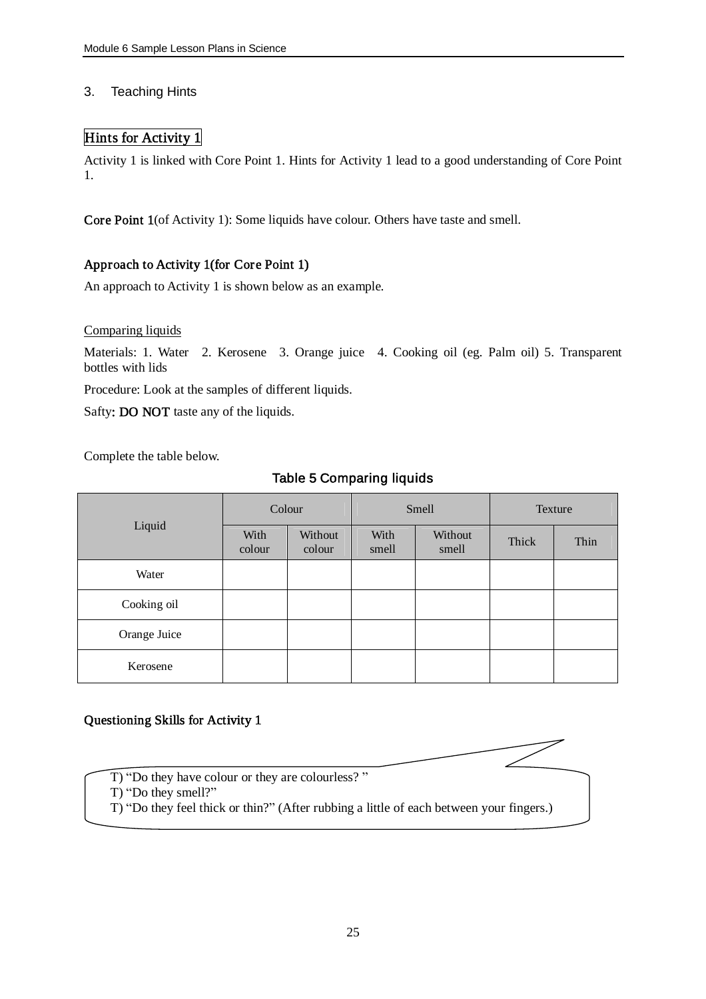## 3. Teaching Hints

## Hints for Activity 1

Activity 1 is linked with Core Point 1. Hints for Activity 1 lead to a good understanding of Core Point 1.

Core Point 1(of Activity 1): Some liquids have colour. Others have taste and smell.

## Approach to Activity 1(for Core Point 1)

An approach to Activity 1 is shown below as an example.

## Comparing liquids

Materials: 1. Water 2. Kerosene 3. Orange juice 4. Cooking oil (eg. Palm oil) 5. Transparent bottles with lids

Procedure: Look at the samples of different liquids.

Safty: DO NOT taste any of the liquids.

Complete the table below.

## Table 5 Comparing liquids

|              |                | Colour            |               | Smell            | Texture |      |  |
|--------------|----------------|-------------------|---------------|------------------|---------|------|--|
| Liquid       | With<br>colour | Without<br>colour | With<br>smell | Without<br>smell | Thick   | Thin |  |
| Water        |                |                   |               |                  |         |      |  |
| Cooking oil  |                |                   |               |                  |         |      |  |
| Orange Juice |                |                   |               |                  |         |      |  |
| Kerosene     |                |                   |               |                  |         |      |  |

## Questioning Skills for Activity 1

- T) "Do they have colour or they are colourless? "
- T) "Do they smell?"
- T) "Do they feel thick or thin?" (After rubbing a little of each between your fingers.)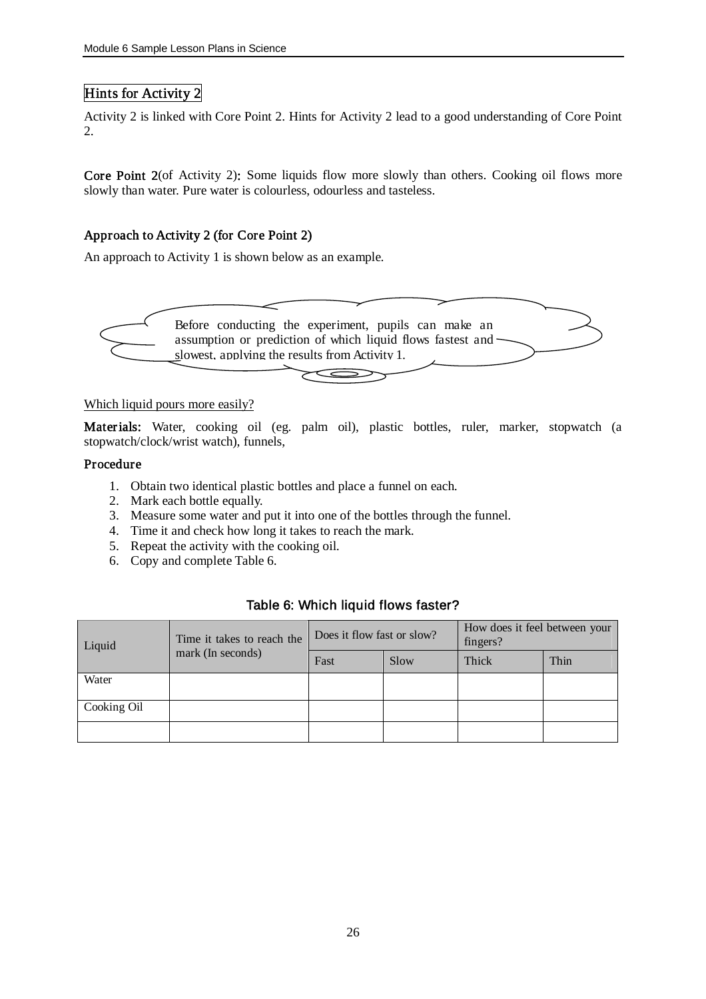## Hints for Activity 2

Activity 2 is linked with Core Point 2. Hints for Activity 2 lead to a good understanding of Core Point 2.

Core Point 2(of Activity 2): Some liquids flow more slowly than others. Cooking oil flows more slowly than water. Pure water is colourless, odourless and tasteless.

## Approach to Activity 2 (for Core Point 2)

An approach to Activity 1 is shown below as an example.



#### Which liquid pours more easily?

Materials: Water, cooking oil (eg. palm oil), plastic bottles, ruler, marker, stopwatch (a stopwatch/clock/wrist watch), funnels,

## Procedure

- 1. Obtain two identical plastic bottles and place a funnel on each.
- 2. Mark each bottle equally.
- 3. Measure some water and put it into one of the bottles through the funnel.
- 4. Time it and check how long it takes to reach the mark.
- 5. Repeat the activity with the cooking oil.
- 6. Copy and complete Table 6.

## Table 6: Which liquid flows faster?

| Liquid      | Time it takes to reach the<br>mark (In seconds) | Does it flow fast or slow? |      | How does it feel between your<br>fingers? |      |
|-------------|-------------------------------------------------|----------------------------|------|-------------------------------------------|------|
|             |                                                 | Fast                       | Slow | Thick                                     | Thin |
| Water       |                                                 |                            |      |                                           |      |
| Cooking Oil |                                                 |                            |      |                                           |      |
|             |                                                 |                            |      |                                           |      |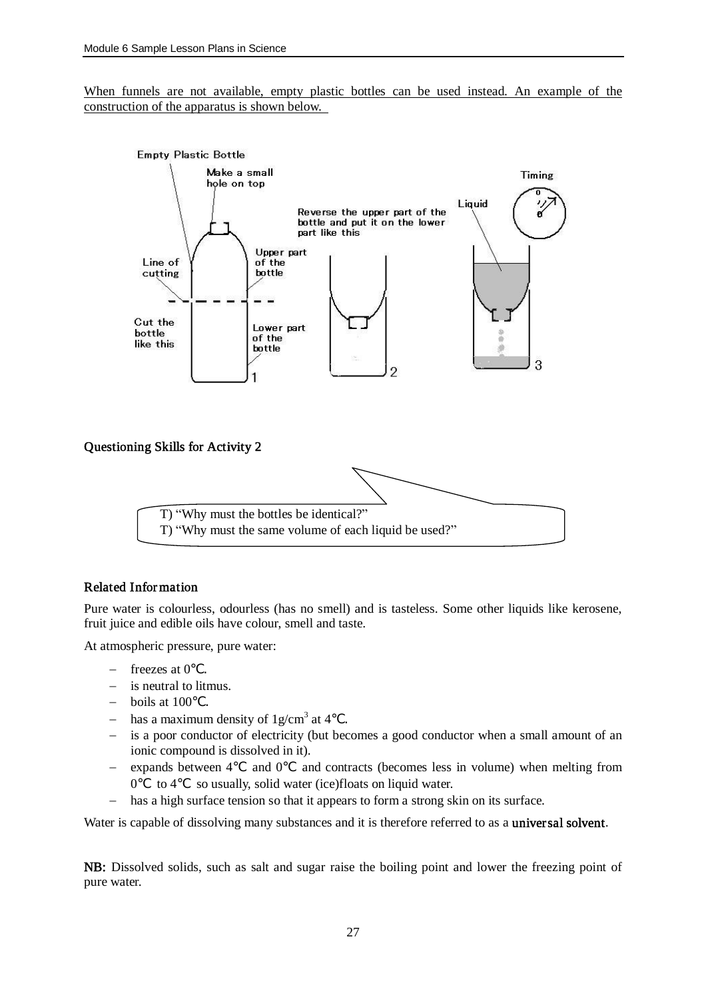When funnels are not available, empty plastic bottles can be used instead. An example of the construction of the apparatus is shown below.



## Related Information

Pure water is colourless, odourless (has no smell) and is tasteless. Some other liquids like kerosene, fruit juice and edible oils have colour, smell and taste.

At atmospheric pressure, pure water:

- freezes at 0 .
- is neutral to litmus.
- $-$  boils at 100.
- has a maximum density of  $1g/cm^3$  at 4.
- is a poor conductor of electricity (but becomes a good conductor when a small amount of an ionic compound is dissolved in it).
- expands between 4 and 0 and contracts (becomes less in volume) when melting from 0 to 4 so usually, solid water (ice)floats on liquid water.
- has a high surface tension so that it appears to form a strong skin on its surface.

Water is capable of dissolving many substances and it is therefore referred to as a universal solvent.

NB: Dissolved solids, such as salt and sugar raise the boiling point and lower the freezing point of pure water.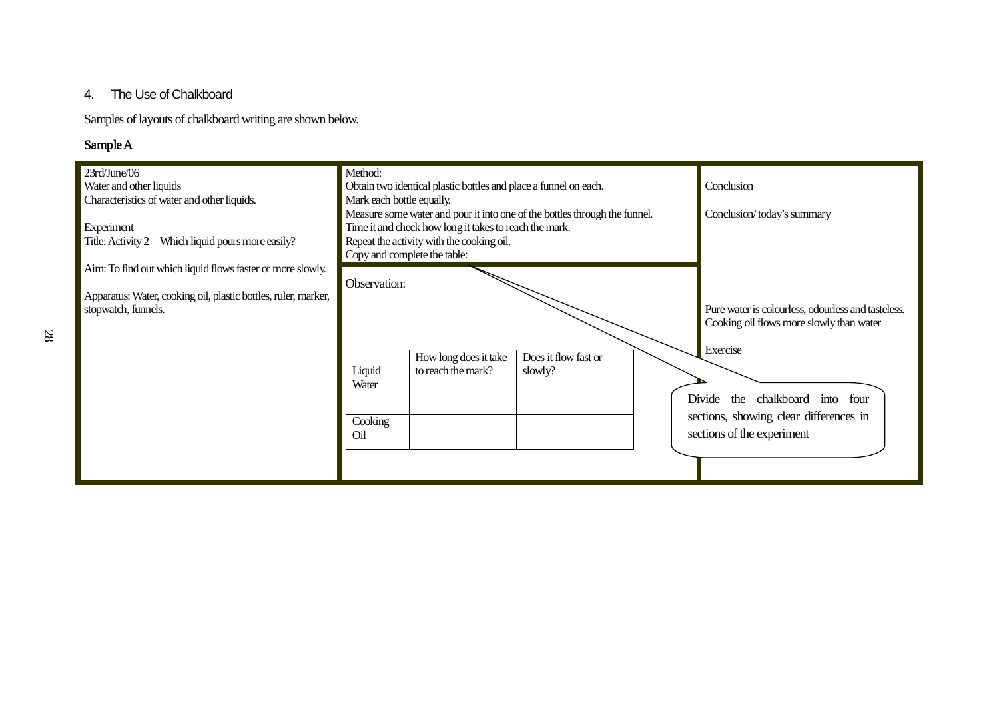## 4. The Use of Chalkboard

Samples of layouts of chalkboard writing are shown below.

## Sample A

| 23rd/June/06<br>Water and other liquids<br>Characteristics of water and other liquids. | Method:<br>Mark each bottle equally. | Obtain two identical plastic bottles and place a funnel on each.                                                                                                                                                  |                                                                                                            |                            | Conclusion                                                           |
|----------------------------------------------------------------------------------------|--------------------------------------|-------------------------------------------------------------------------------------------------------------------------------------------------------------------------------------------------------------------|------------------------------------------------------------------------------------------------------------|----------------------------|----------------------------------------------------------------------|
| Experiment<br>Title: Activity 2 Which liquid pours more easily?                        |                                      | Measure some water and pour it into one of the bottles through the funnel.<br>Time it and check how long it takes to reach the mark.<br>Repeat the activity with the cooking oil.<br>Copy and complete the table: |                                                                                                            | Conclusion/today's summary |                                                                      |
| Aim: To find out which liquid flows faster or more slowly.                             | Observation:                         |                                                                                                                                                                                                                   |                                                                                                            |                            |                                                                      |
| Apparatus: Water, cooking oil, plastic bottles, ruler, marker,<br>stopwatch, funnels.  |                                      |                                                                                                                                                                                                                   | Pure water is colourless, odourless and tasteless.<br>Cooking oil flows more slowly than water<br>Exercise |                            |                                                                      |
|                                                                                        | Liquid                               | How long does it take<br>to reach the mark?                                                                                                                                                                       | Does it flow fast or<br>slowly?                                                                            |                            |                                                                      |
|                                                                                        | Water                                |                                                                                                                                                                                                                   |                                                                                                            |                            | chalkboard into four<br>Divide<br>the                                |
|                                                                                        | Cooking<br>Oil                       |                                                                                                                                                                                                                   |                                                                                                            |                            | sections, showing clear differences in<br>sections of the experiment |
|                                                                                        |                                      |                                                                                                                                                                                                                   |                                                                                                            |                            |                                                                      |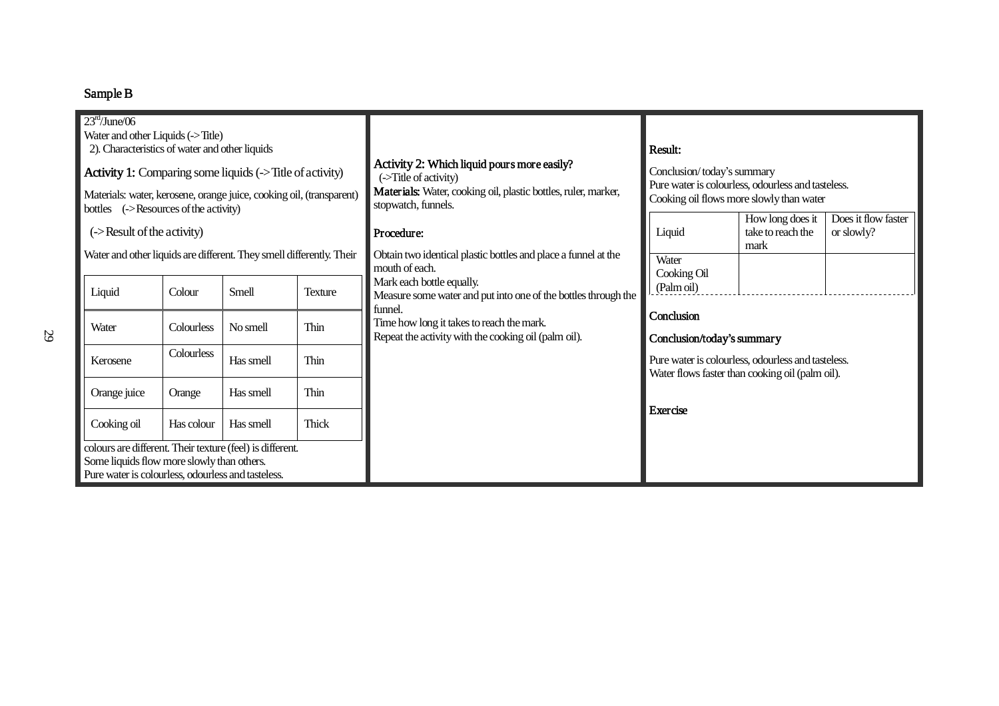## Sample B

| 23 <sup>rd</sup> /June/06<br>Water and other Liquids (->Title)<br>2). Characteristics of water and other liquids<br><b>Activity 1:</b> Comparing some liquids (->Title of activity)<br>Materials: water, kerosene, orange juice, cooking oil, (transparent) |            |           |                | Activity 2: Which liquid pours more easily?<br>(->Title of activity)                                         | Result:<br>Conclusion/today's summary<br>Pure water is colourless, odourless and tasteless.           |                                               |                                   |  |
|-------------------------------------------------------------------------------------------------------------------------------------------------------------------------------------------------------------------------------------------------------------|------------|-----------|----------------|--------------------------------------------------------------------------------------------------------------|-------------------------------------------------------------------------------------------------------|-----------------------------------------------|-----------------------------------|--|
| bottles $\left( -\right)$ ->Resources of the activity)                                                                                                                                                                                                      |            |           |                | Materials: Water, cooking oil, plastic bottles, ruler, marker,<br>stopwatch, funnels.                        | Cooking oil flows more slowly than water                                                              |                                               |                                   |  |
| (->Result of the activity)                                                                                                                                                                                                                                  |            |           |                | Procedure:                                                                                                   | Liquid                                                                                                | How long does it<br>take to reach the<br>mark | Does it flow faster<br>or slowly? |  |
| Water and other liquids are different. They smell differently. Their                                                                                                                                                                                        |            |           |                | Obtain two identical plastic bottles and place a funnel at the<br>mouth of each.                             | Water<br>Cooking Oil                                                                                  |                                               |                                   |  |
| Liquid                                                                                                                                                                                                                                                      | Colour     | Smell     | <b>Texture</b> | Mark each bottle equally.<br>Measure some water and put into one of the bottles through the                  | (Palm oil)                                                                                            |                                               |                                   |  |
| Water                                                                                                                                                                                                                                                       | Colourless | No smell  | Thin           | funnel.<br>Time how long it takes to reach the mark.<br>Repeat the activity with the cooking oil (palm oil). | Conclusion<br>Conclusion/today's summary                                                              |                                               |                                   |  |
| Kerosene                                                                                                                                                                                                                                                    | Colourless | Has smell | Thin           |                                                                                                              | Pure water is colourless, odourless and tasteless.<br>Water flows faster than cooking oil (palm oil). |                                               |                                   |  |
| Orange juice                                                                                                                                                                                                                                                | Orange     | Has smell | Thin           |                                                                                                              |                                                                                                       |                                               |                                   |  |
| Cooking oil                                                                                                                                                                                                                                                 | Has colour | Has smell | <b>Thick</b>   | Exercise                                                                                                     |                                                                                                       |                                               |                                   |  |
| colours are different. Their texture (feel) is different.<br>Some liquids flow more slowly than others.<br>Pure water is colourless, odourless and tasteless.                                                                                               |            |           |                |                                                                                                              |                                                                                                       |                                               |                                   |  |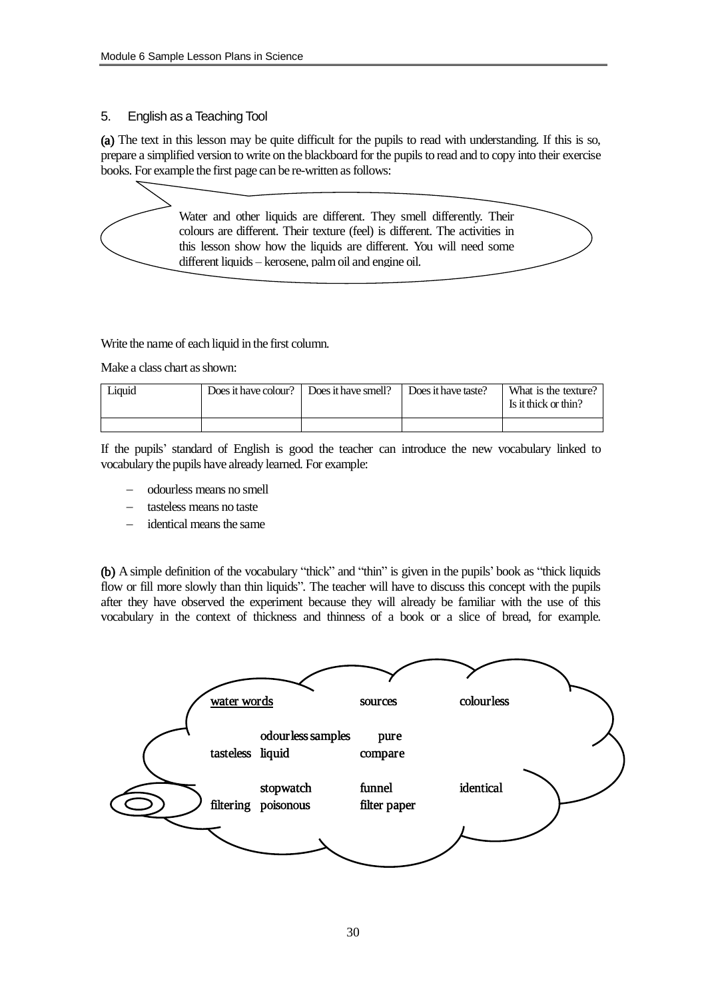## 5. English as a Teaching Tool

(a) The text in this lesson may be quite difficult for the pupils to read with understanding. If this is so, prepare a simplified version to write on the blackboard for the pupils to read and to copy into their exercise books. For example the first page can be re-written as follows:

> Water and other liquids are different. They smell differently. Their colours are different. Their texture (feel) is different. The activities in this lesson show how the liquids are different. You will need some different liquids – kerosene, palmoil and engine oil.

Write the name of each liquid in the first column.

Make a class chart as shown:

| Liquid | Does it have colour? $\parallel$ | Does it have smell? | Does it have taste? | What is the texture?<br>Is it thick or thin? |
|--------|----------------------------------|---------------------|---------------------|----------------------------------------------|
|        |                                  |                     |                     |                                              |

If the pupils' standard of English is good the teacher can introduce the new vocabulary linked to vocabulary the pupils have already learned. For example:

- odourless means no smell
- tasteless means no taste
- identical means the same

(b) A simple definition of the vocabulary "thick" and "thin" is given in the pupils' book as "thick liquids flow or fill more slowly than thin liquids". The teacher will have to discuss this concept with the pupils after they have observed the experiment because they will already be familiar with the use of this vocabulary in the context of thickness and thinness of a book or a slice of bread, for example.

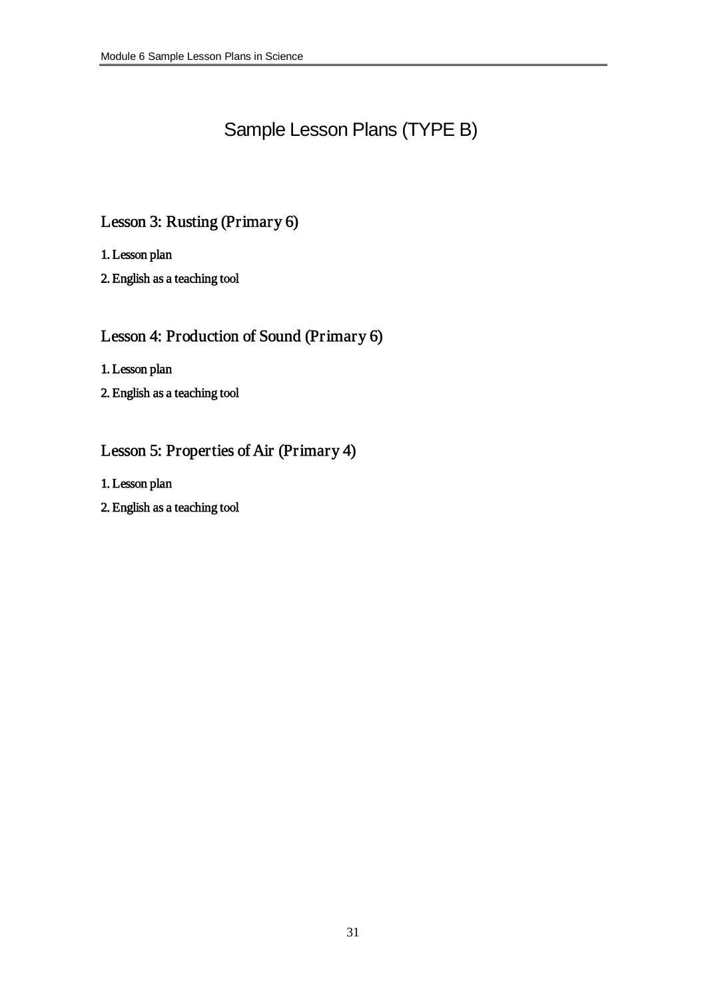# Sample Lesson Plans (TYPE B)

## Lesson 3: Rusting (Primary 6)

1. Lesson plan

2. English as a teaching tool

## Lesson 4: Production of Sound (Primary 6)

1. Lesson plan

2. English as a teaching tool

## Lesson 5: Properties of Air (Primary 4)

1. Lesson plan

2. English as a teaching tool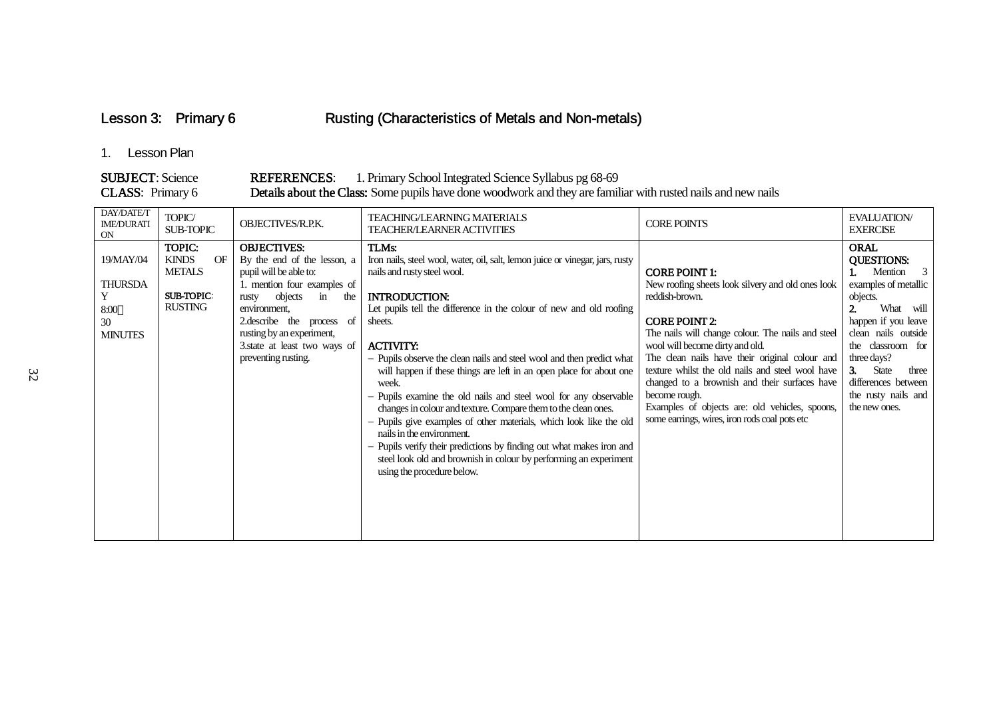Lesson 3: Primary 6 Rusting (Characteristics of Metals and Non-metals)

## 1. Lesson Plan

#### SUBJECT: Science REFERENCES: 1. Primary School Integrated Science Syllabus pg 68-69 CLASS: Primary 6 Details about the Class: Some pupils have done woodwork and they are familiar with rusted nails and new nails

| DAY/DATE/T<br><b>IME/DURATI</b><br><b>ON</b>                     | TOPIC/<br><b>SUB-TOPIC</b>                                                           | OBJECTIVES/R.P.K.                                                                                                                                                                                                                                                             | <b>TEACHING/LEARNING MATERIALS</b><br><b>TEACHER/LEARNER ACTIVITIES</b>                                                                                                                                                                                                                                                                                                                                                                                                                                                                                                                                                                                                                                                                                                                                                          | <b>CORE POINTS</b>                                                                                                                                                                                                                                                                                                                                                                                                                                                                     | <b>EVALUATION/</b><br><b>EXERCISE</b>                                                                                                                                                                                                                                   |
|------------------------------------------------------------------|--------------------------------------------------------------------------------------|-------------------------------------------------------------------------------------------------------------------------------------------------------------------------------------------------------------------------------------------------------------------------------|----------------------------------------------------------------------------------------------------------------------------------------------------------------------------------------------------------------------------------------------------------------------------------------------------------------------------------------------------------------------------------------------------------------------------------------------------------------------------------------------------------------------------------------------------------------------------------------------------------------------------------------------------------------------------------------------------------------------------------------------------------------------------------------------------------------------------------|----------------------------------------------------------------------------------------------------------------------------------------------------------------------------------------------------------------------------------------------------------------------------------------------------------------------------------------------------------------------------------------------------------------------------------------------------------------------------------------|-------------------------------------------------------------------------------------------------------------------------------------------------------------------------------------------------------------------------------------------------------------------------|
| 19/MAY/04<br><b>THURSDA</b><br>Y<br>8:00<br>30<br><b>MINUTES</b> | TOPIC:<br><b>KINDS</b><br>OF<br><b>METALS</b><br><b>SUB-TOPIC:</b><br><b>RUSTING</b> | <b>OBJECTIVES:</b><br>By the end of the lesson, a<br>pupil will be able to:<br>1. mention four examples of<br>objects<br>rusty<br>in<br>the<br>environment,<br>2.describe the process of<br>rusting by an experiment,<br>3. state at least two ways of<br>preventing rusting. | TLMs:<br>Iron nails, steel wool, water, oil, salt, lemon juice or vinegar, jars, rusty<br>nails and rusty steel wool.<br><b>INTRODUCTION:</b><br>Let pupils tell the difference in the colour of new and old roofing<br>sheets.<br><b>ACTIVITY:</b><br>- Pupils observe the clean nails and steel wool and then predict what<br>will happen if these things are left in an open place for about one<br>week.<br>- Pupils examine the old nails and steel wool for any observable<br>changes in colour and texture. Compare them to the clean ones.<br>- Pupils give examples of other materials, which look like the old<br>nails in the environment.<br>- Pupils verify their predictions by finding out what makes iron and<br>steel look old and brownish in colour by performing an experiment<br>using the procedure below. | <b>CORE POINT 1:</b><br>New roofing sheets look silvery and old ones look<br>reddish-brown.<br><b>CORE POINT 2:</b><br>The nails will change colour. The nails and steel<br>wool will become dirty and old.<br>The clean nails have their original colour and<br>texture whilst the old nails and steel wool have<br>changed to a brownish and their surfaces have<br>become rough.<br>Examples of objects are: old vehicles, spoons,<br>some earrings, wires, iron rods coal pots etc | <b>ORAL</b><br><b>QUESTIONS:</b><br>Mention 3<br>examples of metallic<br>objects.<br>What will<br>happen if you leave<br>clean nails outside<br>the classroom for<br>three days?<br>3.<br>State<br>three<br>differences between<br>the rusty nails and<br>the new ones. |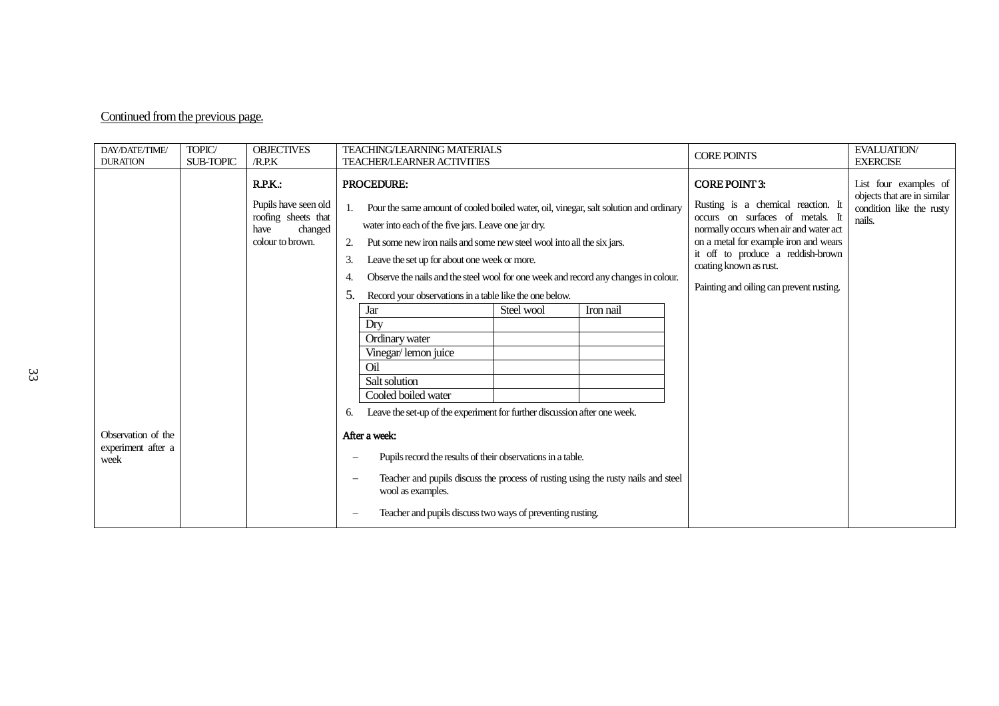## Continued from the previous page.

| DAY/DATE/TIME/<br><b>DURATION</b>                | TOPIC/<br><b>SUB-TOPIC</b> | <b>OBJECTIVES</b><br>/R.RK                                                                   | <b>TEACHING/LEARNING MATERIALS</b><br><b>CORE POINTS</b><br><b>TEACHER/LEARNER ACTIVITIES</b>                                                                                                                                                                                                                                                                                                                                                                                                                                                                                                                                                                                                                                                                                                                                                                                                                                                                                                    | <b>EVALUATION/</b><br><b>EXERCISE</b>                                                      |
|--------------------------------------------------|----------------------------|----------------------------------------------------------------------------------------------|--------------------------------------------------------------------------------------------------------------------------------------------------------------------------------------------------------------------------------------------------------------------------------------------------------------------------------------------------------------------------------------------------------------------------------------------------------------------------------------------------------------------------------------------------------------------------------------------------------------------------------------------------------------------------------------------------------------------------------------------------------------------------------------------------------------------------------------------------------------------------------------------------------------------------------------------------------------------------------------------------|--------------------------------------------------------------------------------------------|
|                                                  |                            | R.P.K.<br>Pupils have seen old<br>roofing sheets that<br>changed<br>have<br>colour to brown. | <b>PROCEDURE:</b><br><b>CORE POINT 3:</b><br>Rusting is a chemical reaction. It<br>Pour the same amount of cooled boiled water, oil, vinegar, salt solution and ordinary<br>1.<br>occurs on surfaces of metals. It<br>water into each of the five jars. Leave one jar dry.<br>normally occurs when air and water act<br>on a metal for example iron and wears<br>Put some new iron nails and some new steel wool into all the six jars.<br>2.<br>it off to produce a reddish-brown<br>Leave the set up for about one week or more.<br>3.<br>coating known as rust.<br>Observe the nails and the steel wool for one week and record any changes in colour.<br>4.<br>Painting and oiling can prevent rusting.<br>Record your observations in a table like the one below.<br>5.<br>Steel wool<br>Iron nail<br>Jar<br>Dry<br>Ordinary water<br>Vinegar/lemon juice<br>Oil<br>Salt solution<br>Cooled boiled water<br>Leave the set-up of the experiment for further discussion after one week.<br>6. | List four examples of<br>objects that are in similar<br>condition like the rusty<br>nails. |
| Observation of the<br>experiment after a<br>week |                            |                                                                                              | After a week:<br>Pupils record the results of their observations in a table.<br>Teacher and pupils discuss the process of rusting using the rusty nails and steel<br>wool as examples.<br>Teacher and pupils discuss two ways of preventing rusting.                                                                                                                                                                                                                                                                                                                                                                                                                                                                                                                                                                                                                                                                                                                                             |                                                                                            |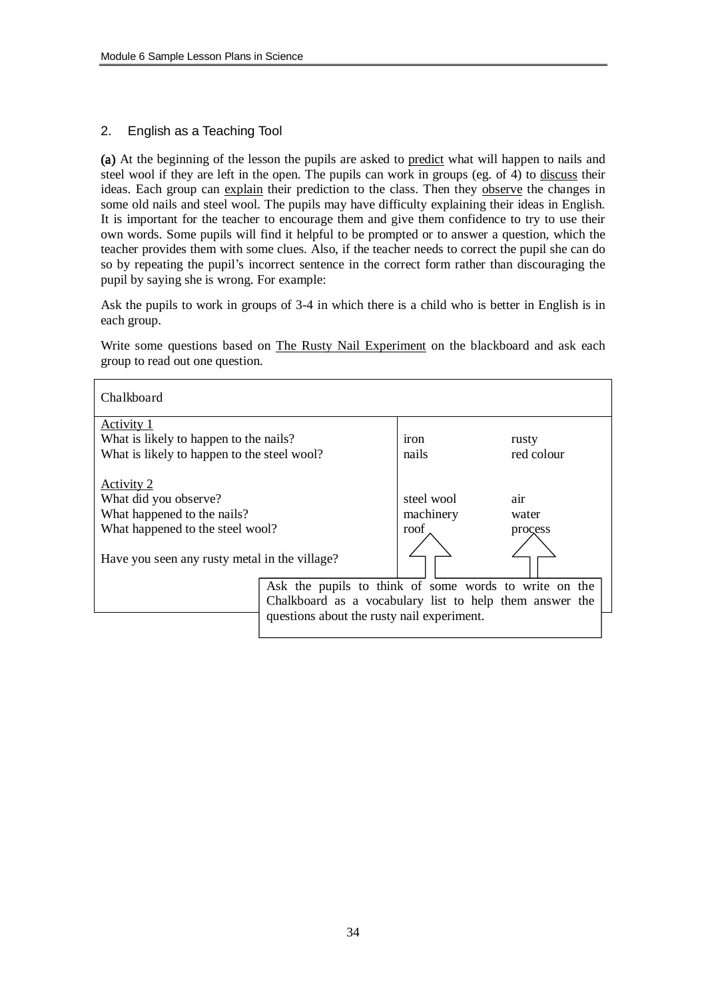## 2. English as a Teaching Tool

(a) At the beginning of the lesson the pupils are asked to predict what will happen to nails and steel wool if they are left in the open. The pupils can work in groups (eg. of  $\overline{4}$ ) to discuss their ideas. Each group can explain their prediction to the class. Then they observe the changes in some old nails and steel wool. The pupils may have difficulty explaining their ideas in English. It is important for the teacher to encourage them and give them confidence to try to use their own words. Some pupils will find it helpful to be prompted or to answer a question, which the teacher provides them with some clues. Also, if the teacher needs to correct the pupil she can do so by repeating the pupil's incorrect sentence in the correct form rather than discouraging the pupil by saying she is wrong. For example:

Ask the pupils to work in groups of 3-4 in which there is a child who is better in English is in each group.

Write some questions based on The Rusty Nail Experiment on the blackboard and ask each group to read out one question.

| Chalkboard                                                                                             |                                                         |                                 |                         |  |
|--------------------------------------------------------------------------------------------------------|---------------------------------------------------------|---------------------------------|-------------------------|--|
| Activity 1                                                                                             |                                                         |                                 |                         |  |
| What is likely to happen to the nails?                                                                 |                                                         | <i>iron</i>                     | rusty                   |  |
| What is likely to happen to the steel wool?                                                            |                                                         | nails                           | red colour              |  |
| Activity 2<br>What did you observe?<br>What happened to the nails?<br>What happened to the steel wool? |                                                         | steel wool<br>machinery<br>roof | air<br>water<br>process |  |
| Have you seen any rusty metal in the village?                                                          |                                                         |                                 |                         |  |
|                                                                                                        |                                                         |                                 |                         |  |
|                                                                                                        | Ask the pupils to think of some words to write on the   |                                 |                         |  |
|                                                                                                        | Chalkboard as a vocabulary list to help them answer the |                                 |                         |  |
|                                                                                                        | questions about the rusty nail experiment.              |                                 |                         |  |
|                                                                                                        |                                                         |                                 |                         |  |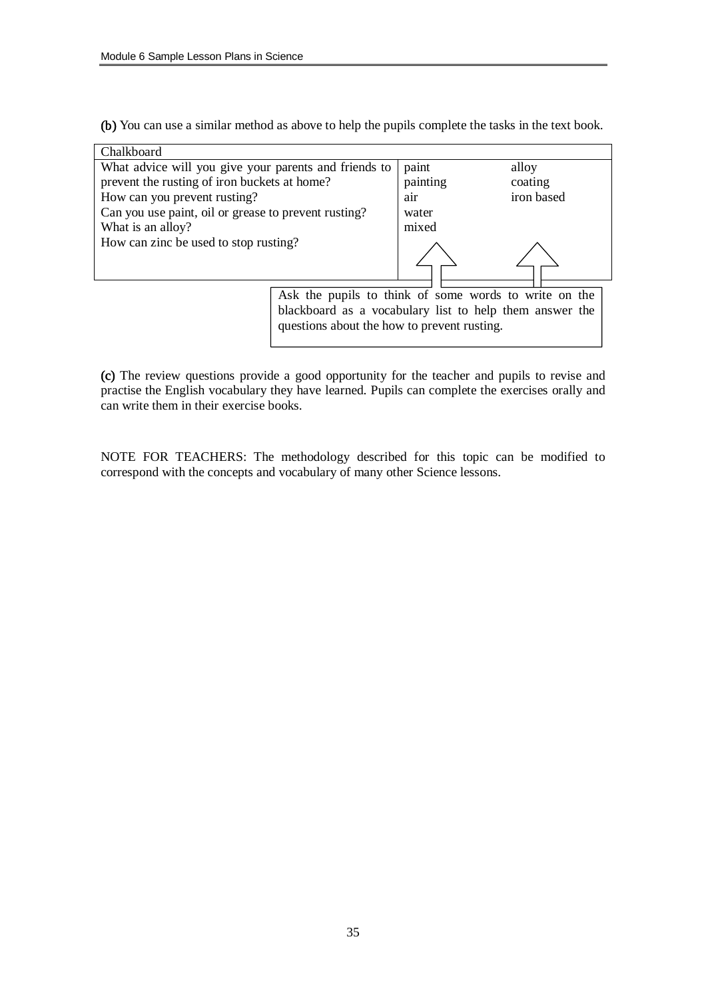(b) You can use a similar method as above to help the pupils complete the tasks in the text book.

| Chalkboard                                            |                                                         |          |            |
|-------------------------------------------------------|---------------------------------------------------------|----------|------------|
| What advice will you give your parents and friends to | paint                                                   | alloy    |            |
| prevent the rusting of iron buckets at home?          |                                                         | painting | coating    |
| How can you prevent rusting?                          |                                                         | air      | iron based |
| Can you use paint, oil or grease to prevent rusting?  |                                                         | water    |            |
| What is an alloy?                                     |                                                         | mixed    |            |
| How can zinc be used to stop rusting?                 |                                                         |          |            |
|                                                       |                                                         |          |            |
|                                                       |                                                         |          |            |
|                                                       |                                                         |          |            |
|                                                       | Ask the pupils to think of some words to write on the   |          |            |
|                                                       | blackboard as a vocabulary list to help them answer the |          |            |
|                                                       | questions about the how to prevent rusting.             |          |            |
|                                                       |                                                         |          |            |

(c) The review questions provide a good opportunity for the teacher and pupils to revise and practise the English vocabulary they have learned. Pupils can complete the exercises orally and can write them in their exercise books.

NOTE FOR TEACHERS: The methodology described for this topic can be modified to correspond with the concepts and vocabulary of many other Science lessons.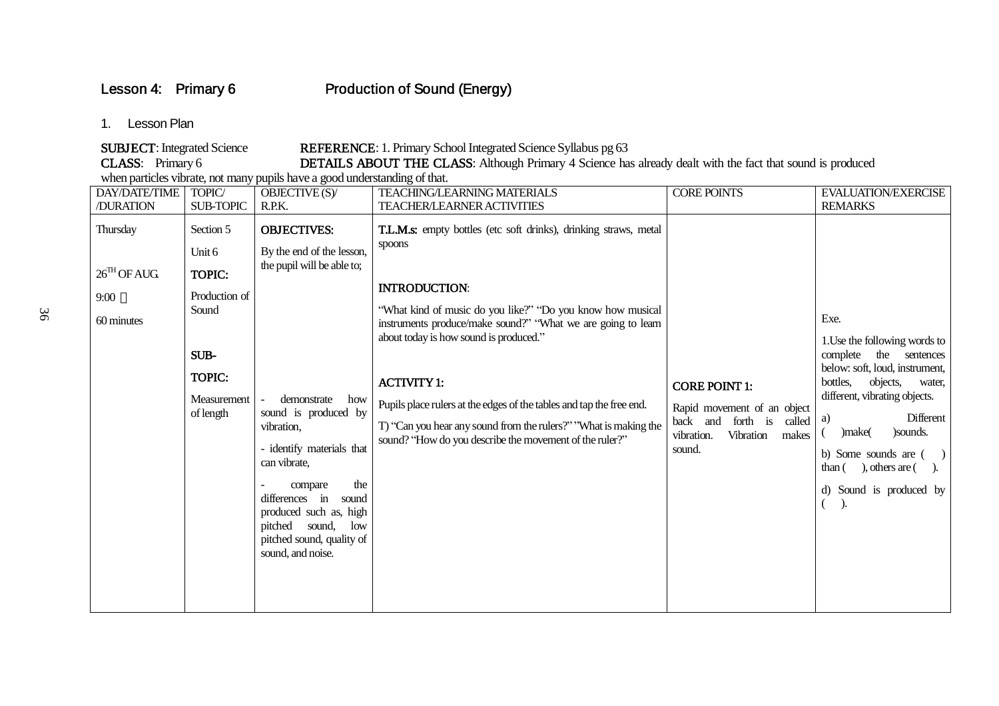## Lesson 4: Primary 6 **Production of Sound (Energy)**

## 1. Lesson Plan

SUBJECT: Integrated Science REFERENCE: 1. Primary School Integrated Science Syllabus pg 63<br>CLASS: Primary 6 DETAILS ABOUT THE CLASS: Although Primary 4 Science ha DETAILS ABOUT THE CLASS: Although Primary 4 Science has already dealt with the fact that sound is produced

when particles vibrate, not many pupils have a good understanding of that.

| <b>DAY/DATE/TIME</b>                                      | TOPIC/                                                                                                | OBJECTIVE (S)/                                                                                                                                                                                                                                                                                                                        | <b>TEACHING/LEARNING MATERIALS</b>                                                                                                                                                                                                                                                                                                                                                                                                                                                                      | <b>CORE POINTS</b>                                                                                                                  | <b>EVALUATION/EXERCISE</b>                                                                                                                                                                                                                                                                           |
|-----------------------------------------------------------|-------------------------------------------------------------------------------------------------------|---------------------------------------------------------------------------------------------------------------------------------------------------------------------------------------------------------------------------------------------------------------------------------------------------------------------------------------|---------------------------------------------------------------------------------------------------------------------------------------------------------------------------------------------------------------------------------------------------------------------------------------------------------------------------------------------------------------------------------------------------------------------------------------------------------------------------------------------------------|-------------------------------------------------------------------------------------------------------------------------------------|------------------------------------------------------------------------------------------------------------------------------------------------------------------------------------------------------------------------------------------------------------------------------------------------------|
| /DURATION                                                 | <b>SUB-TOPIC</b>                                                                                      | R.P.K.                                                                                                                                                                                                                                                                                                                                | <b>TEACHER/LEARNER ACTIVITIES</b>                                                                                                                                                                                                                                                                                                                                                                                                                                                                       |                                                                                                                                     | <b>REMARKS</b>                                                                                                                                                                                                                                                                                       |
| Thursday<br>$26^{\text{TH}}$ OF AUG<br>9:00<br>60 minutes | Section 5<br>Unit 6<br>TOPIC:<br>Production of<br>Sound<br>SUB-<br>TOPIC:<br>Measurement<br>of length | <b>OBJECTIVES:</b><br>By the end of the lesson,<br>the pupil will be able to;<br>demonstrate<br>how<br>sound is produced by<br>vibration.<br>- identify materials that<br>can vibrate,<br>the<br>compare<br>differences in<br>sound<br>produced such as, high<br>pitched sound, low<br>pitched sound, quality of<br>sound, and noise. | T.L.M.s: empty bottles (etc soft drinks), drinking straws, metal<br>spoons<br><b>INTRODUCTION:</b><br>"What kind of music do you like?" "Do you know how musical<br>instruments produce/make sound?" "What we are going to learn<br>about today is how sound is produced."<br><b>ACTIVITY 1:</b><br>Pupils place rulers at the edges of the tables and tap the free end.<br>T) "Can you hear any sound from the rulers?" "What is making the<br>sound? "How do you describe the movement of the ruler?" | <b>CORE POINT 1:</b><br>Rapid movement of an object<br>back and<br>forth is<br>called<br>Vibration<br>vibration.<br>makes<br>sound. | Exe.<br>1. Use the following words to<br>complete<br>the sentences<br>below: soft, loud, instrument,<br>objects,<br>bottles,<br>water,<br>different, vibrating objects.<br>Different<br>a)<br>) sounds.<br>)make(<br>b) Some sounds are (<br>$than ($ , others are $($ ).<br>d) Sound is produced by |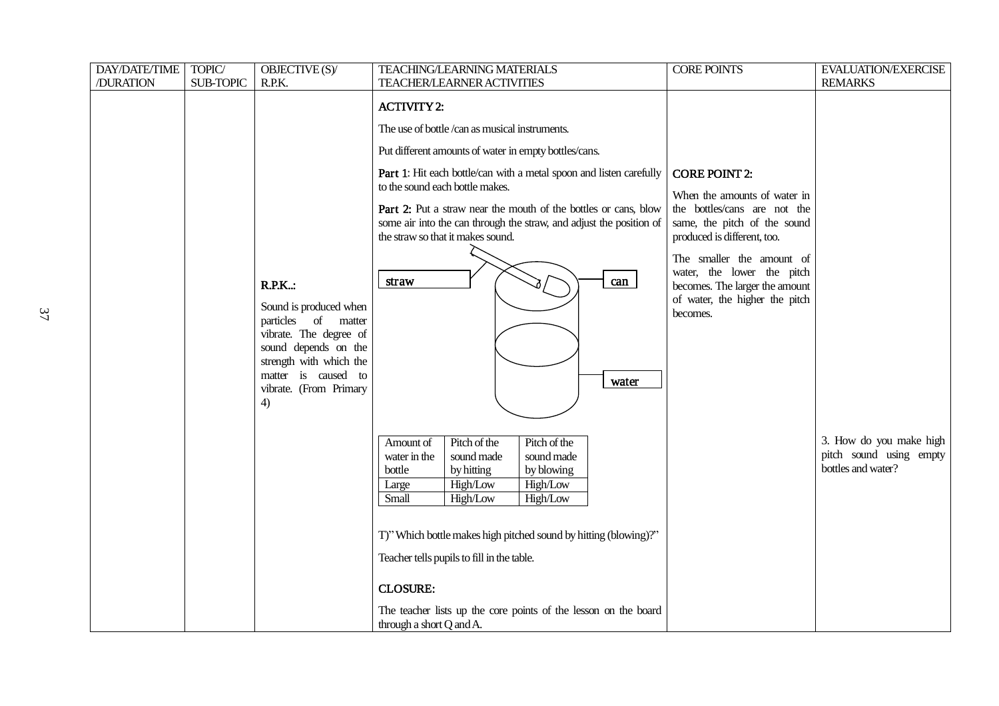| <b>DAY/DATE/TIME</b> | TOPIC/           | OBJECTIVE (S)/                                                                                                                                                                                     | <b>TEACHING/LEARNING MATERIALS</b>                                                                                                                                                                                                                                                                                                                                                                                                                                                                                                                                                                                                                                                                                  | <b>CORE POINTS</b>                                                                                                                                                                                                                                                                             | EVALUATION/EXERCISE                                                      |
|----------------------|------------------|----------------------------------------------------------------------------------------------------------------------------------------------------------------------------------------------------|---------------------------------------------------------------------------------------------------------------------------------------------------------------------------------------------------------------------------------------------------------------------------------------------------------------------------------------------------------------------------------------------------------------------------------------------------------------------------------------------------------------------------------------------------------------------------------------------------------------------------------------------------------------------------------------------------------------------|------------------------------------------------------------------------------------------------------------------------------------------------------------------------------------------------------------------------------------------------------------------------------------------------|--------------------------------------------------------------------------|
| /DURATION            | <b>SUB-TOPIC</b> | R.P.K.                                                                                                                                                                                             | <b>TEACHER/LEARNER ACTIVITIES</b>                                                                                                                                                                                                                                                                                                                                                                                                                                                                                                                                                                                                                                                                                   |                                                                                                                                                                                                                                                                                                | <b>REMARKS</b>                                                           |
|                      |                  | <b>R.P.K:</b><br>Sound is produced when<br>particles of matter<br>vibrate. The degree of<br>sound depends on the<br>strength with which the<br>matter is caused to<br>vibrate. (From Primary<br>4) | <b>ACTIVITY 2:</b><br>The use of bottle/can as musical instruments.<br>Put different amounts of water in empty bottles/cans.<br>Part 1: Hit each bottle/can with a metal spoon and listen carefully<br>to the sound each bottle makes.<br>Part 2: Put a straw near the mouth of the bottles or cans, blow<br>some air into the can through the straw, and adjust the position of<br>the straw so that it makes sound.<br>can<br>straw<br>water<br>Pitch of the<br>Pitch of the<br>Amount of<br>sound made<br>sound made<br>water in the<br>by blowing<br>bottle<br>by hitting<br>High/Low<br>High/Low<br>Large<br>Small<br>High/Low<br>High/Low<br>T)" Which bottle makes high pitched sound by hitting (blowing)?" | <b>CORE POINT 2:</b><br>When the amounts of water in<br>the bottles/cans are not the<br>same, the pitch of the sound<br>produced is different, too.<br>The smaller the amount of<br>water, the lower the pitch<br>becomes. The larger the amount<br>of water, the higher the pitch<br>becomes. | 3. How do you make high<br>pitch sound using empty<br>bottles and water? |
|                      |                  |                                                                                                                                                                                                    | Teacher tells pupils to fill in the table.<br><b>CLOSURE:</b><br>The teacher lists up the core points of the lesson on the board                                                                                                                                                                                                                                                                                                                                                                                                                                                                                                                                                                                    |                                                                                                                                                                                                                                                                                                |                                                                          |
|                      |                  |                                                                                                                                                                                                    | through a short Q and A.                                                                                                                                                                                                                                                                                                                                                                                                                                                                                                                                                                                                                                                                                            |                                                                                                                                                                                                                                                                                                |                                                                          |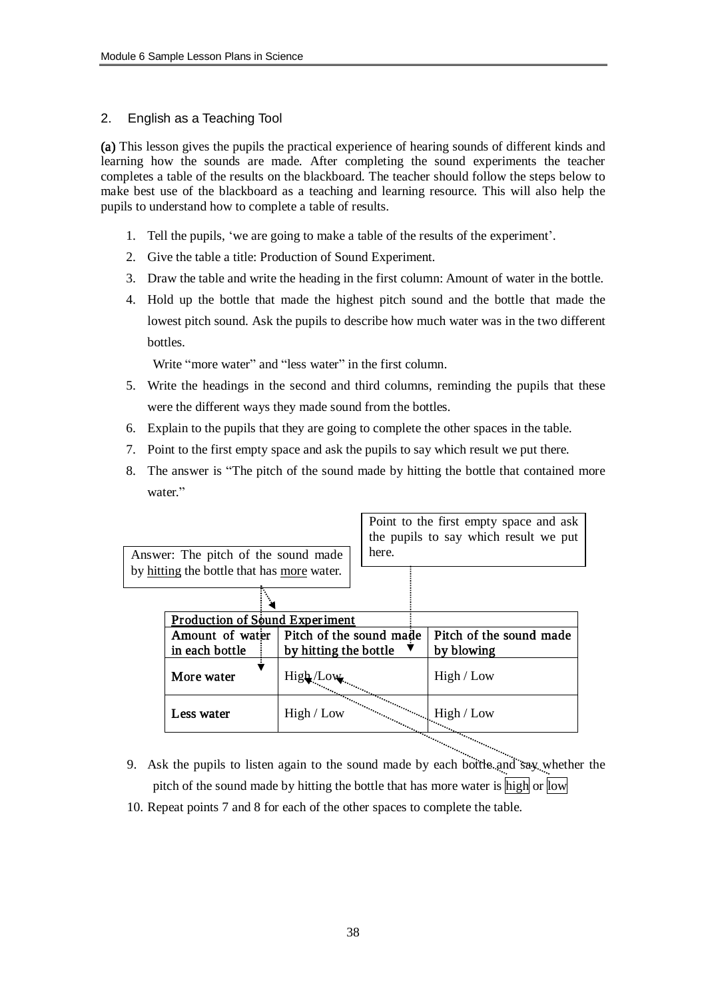### 2. English as a Teaching Tool

(a) This lesson gives the pupils the practical experience of hearing sounds of different kinds and learning how the sounds are made. After completing the sound experiments the teacher completes a table of the results on the blackboard. The teacher should follow the steps below to make best use of the blackboard as a teaching and learning resource. This will also help the pupils to understand how to complete a table of results.

- 1. Tell the pupils, 'we are going to make a table of the results of the experiment'.
- 2. Give the table a title: Production of Sound Experiment.
- 3. Draw the table and write the heading in the first column: Amount of water in the bottle.
- 4. Hold up the bottle that made the highest pitch sound and the bottle that made the lowest pitch sound. Ask the pupils to describe how much water was in the two different bottles.

Write "more water" and "less water" in the first column.

- 5. Write the headings in the second and third columns, reminding the pupils that these were the different ways they made sound from the bottles.
- 6. Explain to the pupils that they are going to complete the other spaces in the table.
- 7. Point to the first empty space and ask the pupils to say which result we put there.
- 8. The answer is "The pitch of the sound made by hitting the bottle that contained more water."

| Answer: The pitch of the sound made        |                         | here. | Point to the first empty space and ask<br>the pupils to say which result we put |
|--------------------------------------------|-------------------------|-------|---------------------------------------------------------------------------------|
| by hitting the bottle that has more water. |                         |       |                                                                                 |
|                                            |                         |       |                                                                                 |
| Production of Sound Experiment             |                         |       |                                                                                 |
| Amount of water                            | Pitch of the sound made |       | Pitch of the sound made                                                         |
| in each bottle                             | by hitting the bottle   |       | by blowing                                                                      |
| More water                                 |                         |       | High / Low                                                                      |
| Less water                                 | High / Low              |       | High / Low                                                                      |
|                                            |                         |       |                                                                                 |

- 9. Ask the pupils to listen again to the sound made by each bottle and say whether the pitch of the sound made by hitting the bottle that has more water is high or low
- 10. Repeat points 7 and 8 for each of the other spaces to complete the table.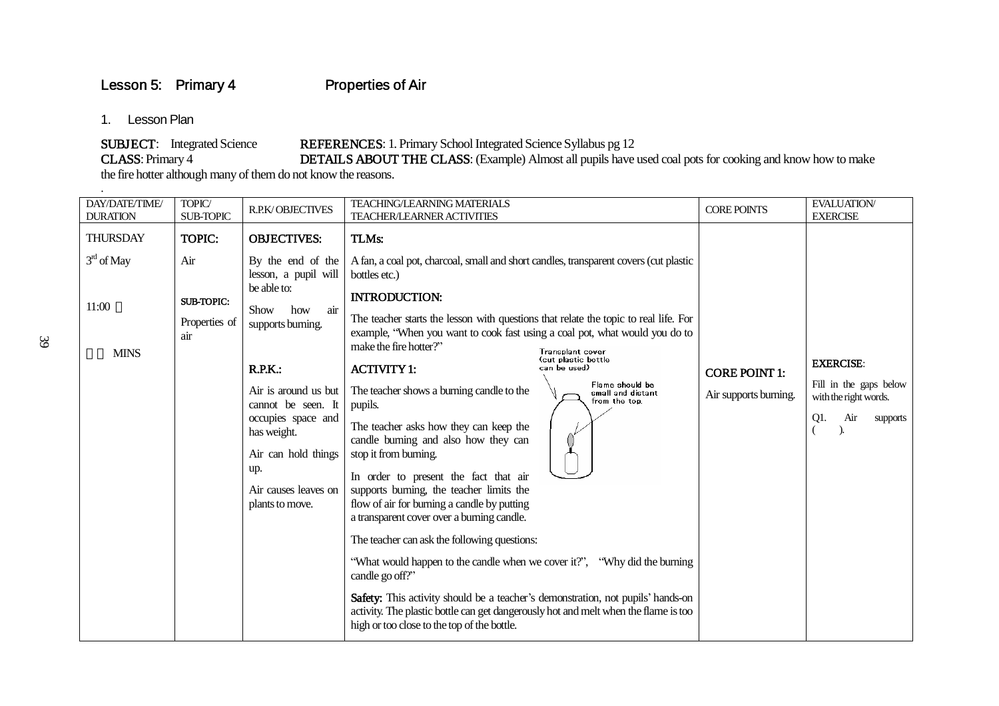Lesson 5: Primary 4 Properties of Air

1. Lesson Plan

.

SUBJECT: Integrated Science REFERENCES: 1. Primary School Integrated Science Syllabus pg 12<br>CLASS: Primary 4 DETAILS ABOUT THE CLASS: (Example) Almost all pupils have DETAILS ABOUT THE CLASS: (Example) Almost all pupils have used coal pots for cooking and know how to make

the fire hotter although many of them do not know the reasons.

| DAY/DATE/TIME/<br><b>DURATION</b>                       | TOPIC/<br><b>SUB-TOPIC</b>                                        | <b>R.P.K/OBJECTIVES</b>                                                                                                                                                                                                                                                                          | <b>TEACHING/LEARNING MATERIALS</b><br>TEACHER/LEARNER ACTIVITIES                                                                                                                                                                                                                                                                                                                                                                                                                                                                                                                                                                                                                                                                                                                                                                                                                                                                                                                                                                                                                                                                                                                                                         | <b>CORE POINTS</b>                            | <b>EVALUATION/</b><br><b>EXERCISE</b>                                                         |
|---------------------------------------------------------|-------------------------------------------------------------------|--------------------------------------------------------------------------------------------------------------------------------------------------------------------------------------------------------------------------------------------------------------------------------------------------|--------------------------------------------------------------------------------------------------------------------------------------------------------------------------------------------------------------------------------------------------------------------------------------------------------------------------------------------------------------------------------------------------------------------------------------------------------------------------------------------------------------------------------------------------------------------------------------------------------------------------------------------------------------------------------------------------------------------------------------------------------------------------------------------------------------------------------------------------------------------------------------------------------------------------------------------------------------------------------------------------------------------------------------------------------------------------------------------------------------------------------------------------------------------------------------------------------------------------|-----------------------------------------------|-----------------------------------------------------------------------------------------------|
| <b>THURSDAY</b><br>$3rd$ of May<br>11:00<br><b>MINS</b> | <b>TOPIC:</b><br>Air<br><b>SUB-TOPIC:</b><br>Properties of<br>air | <b>OBJECTIVES:</b><br>By the end of the<br>lesson, a pupil will<br>be able to:<br>air<br>Show<br>how<br>supports burning.<br>R.P.K.:<br>Air is around us but<br>cannot be seen. It<br>occupies space and<br>has weight.<br>Air can hold things<br>up.<br>Air causes leaves on<br>plants to move. | TLMs:<br>A fan, a coal pot, charcoal, small and short candles, transparent covers (cut plastic<br>bottles etc.)<br><b>INTRODUCTION:</b><br>The teacher starts the lesson with questions that relate the topic to real life. For<br>example, "When you want to cook fast using a coal pot, what would you do to<br>make the fire hotter?"<br><b>Transplant cover</b><br>(cut plastic bottle<br><b>ACTIVITY 1:</b><br>can be used)<br>Flame should be<br>The teacher shows a burning candle to the<br>small and distant<br>from the top.<br>pupils.<br>The teacher asks how they can keep the<br>candle burning and also how they can<br>stop it from burning.<br>In order to present the fact that air<br>supports burning, the teacher limits the<br>flow of air for burning a candle by putting<br>a transparent cover over a burning candle.<br>The teacher can ask the following questions:<br>"What would happen to the candle when we cover it?", "Why did the burning"<br>candle go off?"<br>Safety: This activity should be a teacher's demonstration, not pupils' hands-on<br>activity. The plastic bottle can get dangerously hot and melt when the flame is too<br>high or too close to the top of the bottle. | <b>CORE POINT 1:</b><br>Air supports burning. | <b>EXERCISE:</b><br>Fill in the gaps below<br>with the right words.<br>Air<br>Q1.<br>supports |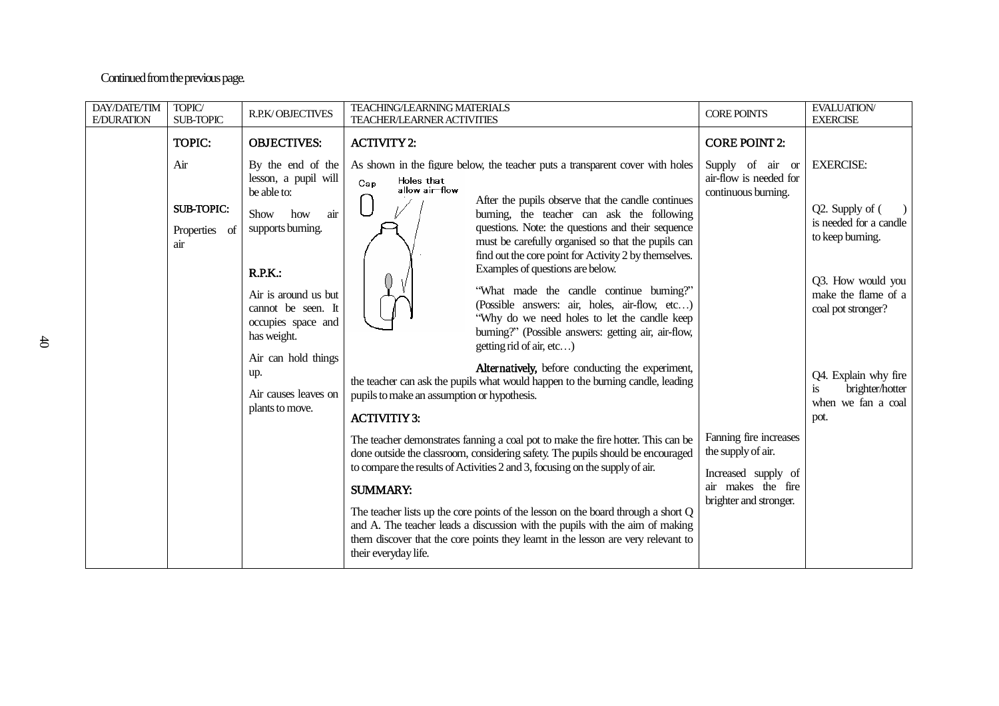## Continued from the previous page.

| DAY/DATE/TIM<br><b>E/DURATION</b> | TOPIC/<br><b>SUB-TOPIC</b>                                        | <b>R.P.K/OBJECTIVES</b>                                                                                                                                                                                                                                                                         | <b>TEACHING/LEARNING MATERIALS</b><br><b>TEACHER/LEARNER ACTIVITIES</b>                                                                                                                                                                                                                                                                                                                                                                                                                                                                                                                                                                                                                                                                                                                                                                                                                                                                                                                                                                                                                                                                                                                                                                                                                                                                                                                                                                                         | <b>CORE POINTS</b>                                                                                                                                                                                               | <b>EVALUATION/</b><br><b>EXERCISE</b>                                                                                                                                                                                                                |
|-----------------------------------|-------------------------------------------------------------------|-------------------------------------------------------------------------------------------------------------------------------------------------------------------------------------------------------------------------------------------------------------------------------------------------|-----------------------------------------------------------------------------------------------------------------------------------------------------------------------------------------------------------------------------------------------------------------------------------------------------------------------------------------------------------------------------------------------------------------------------------------------------------------------------------------------------------------------------------------------------------------------------------------------------------------------------------------------------------------------------------------------------------------------------------------------------------------------------------------------------------------------------------------------------------------------------------------------------------------------------------------------------------------------------------------------------------------------------------------------------------------------------------------------------------------------------------------------------------------------------------------------------------------------------------------------------------------------------------------------------------------------------------------------------------------------------------------------------------------------------------------------------------------|------------------------------------------------------------------------------------------------------------------------------------------------------------------------------------------------------------------|------------------------------------------------------------------------------------------------------------------------------------------------------------------------------------------------------------------------------------------------------|
|                                   | <b>TOPIC:</b><br>Air<br><b>SUB-TOPIC:</b><br>Properties of<br>air | <b>OBJECTIVES:</b><br>By the end of the<br>lesson, a pupil will<br>be able to:<br>air<br>Show<br>how<br>supports burning.<br>R.P.K.<br>Air is around us but<br>cannot be seen. It<br>occupies space and<br>has weight.<br>Air can hold things<br>up.<br>Air causes leaves on<br>plants to move. | <b>ACTIVITY 2:</b><br>As shown in the figure below, the teacher puts a transparent cover with holes<br>Holes that<br>Cap<br>allow air-flow<br>After the pupils observe that the candle continues<br>burning, the teacher can ask the following<br>questions. Note: the questions and their sequence<br>must be carefully organised so that the pupils can<br>find out the core point for Activity 2 by themselves.<br>Examples of questions are below.<br>"What made the candle continue burning?"<br>(Possible answers: air, holes, air-flow, etc)<br>"Why do we need holes to let the candle keep<br>burning?" (Possible answers: getting air, air-flow,<br>getting rid of air, etc)<br>Alternatively, before conducting the experiment,<br>the teacher can ask the pupils what would happen to the burning candle, leading<br>pupils to make an assumption or hypothesis.<br><b>ACTIVITIY 3:</b><br>The teacher demonstrates fanning a coal pot to make the fire hotter. This can be<br>done outside the classroom, considering safety. The pupils should be encouraged<br>to compare the results of Activities 2 and 3, focusing on the supply of air.<br><b>SUMMARY:</b><br>The teacher lists up the core points of the lesson on the board through a short Q<br>and A. The teacher leads a discussion with the pupils with the aim of making<br>them discover that the core points they learnt in the lesson are very relevant to<br>their everyday life. | <b>CORE POINT 2:</b><br>Supply of air or<br>air-flow is needed for<br>continuous burning.<br>Fanning fire increases<br>the supply of air.<br>Increased supply of<br>air makes the fire<br>brighter and stronger. | <b>EXERCISE:</b><br>Q2. Supply of (<br>$\rightarrow$<br>is needed for a candle<br>to keep burning.<br>Q3. How would you<br>make the flame of a<br>coal pot stronger?<br>Q4. Explain why fire<br>brighter/hotter<br>is.<br>when we fan a coal<br>pot. |